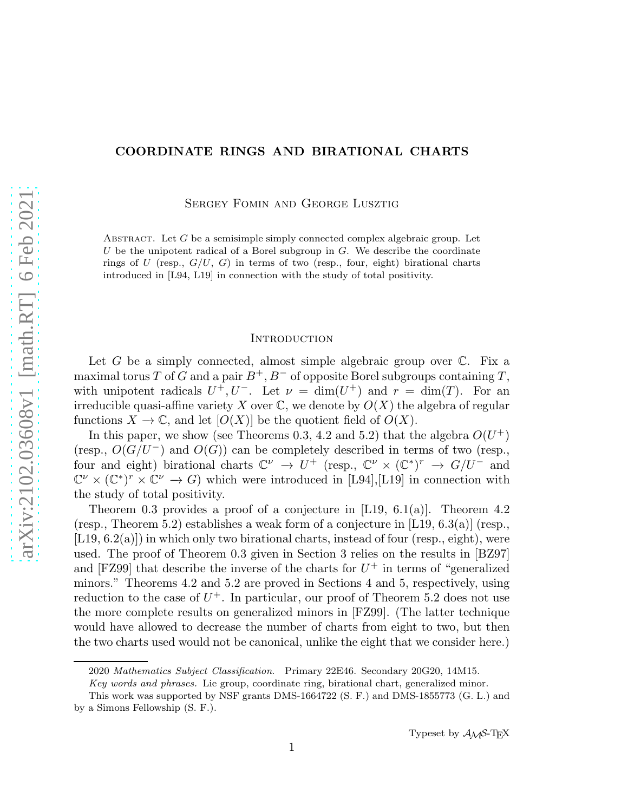# COORDINATE RINGS AND BIRATIONAL CHARTS

Sergey Fomin and George Lusztig

ABSTRACT. Let  $G$  be a semisimple simply connected complex algebraic group. Let U be the unipotent radical of a Borel subgroup in  $G$ . We describe the coordinate rings of U (resp.,  $G/U$ , G) in terms of two (resp., four, eight) birational charts introduced in [L94, L19] in connection with the study of total positivity.

## **INTRODUCTION**

Let G be a simply connected, almost simple algebraic group over  $\mathbb{C}$ . Fix a maximal torus T of G and a pair  $B^+, B^-$  of opposite Borel subgroups containing T, with unipotent radicals  $U^+, U^-$ . Let  $\nu = \dim(U^+)$  and  $r = \dim(T)$ . For an irreducible quasi-affine variety X over  $\mathbb{C}$ , we denote by  $O(X)$  the algebra of regular functions  $X \to \mathbb{C}$ , and let  $[O(X)]$  be the quotient field of  $O(X)$ .

In this paper, we show (see Theorems 0.3, 4.2 and 5.2) that the algebra  $O(U^+)$ (resp.,  $O(G/U^-)$  and  $O(G)$ ) can be completely described in terms of two (resp., four and eight) birational charts  $\mathbb{C}^{\nu} \to U^{+}$  (resp.,  $\mathbb{C}^{\nu} \times (\mathbb{C}^{*})^{r} \to G/U^{-}$  and  $\mathbb{C}^{\nu} \times (\mathbb{C}^*)^r \times \mathbb{C}^{\nu} \to G$  which were introduced in [L94], [L19] in connection with the study of total positivity.

Theorem 0.3 provides a proof of a conjecture in [L19, 6.1(a)]. Theorem 4.2 (resp., Theorem 5.2) establishes a weak form of a conjecture in [L19,  $6.3(a)$ ] (resp.,  $[L19, 6.2(a)]$ ) in which only two birational charts, instead of four (resp., eight), were used. The proof of Theorem 0.3 given in Section 3 relies on the results in [BZ97] and [FZ99] that describe the inverse of the charts for  $U^+$  in terms of "generalized" minors." Theorems 4.2 and 5.2 are proved in Sections 4 and 5, respectively, using reduction to the case of  $U^+$ . In particular, our proof of Theorem 5.2 does not use the more complete results on generalized minors in [FZ99]. (The latter technique would have allowed to decrease the number of charts from eight to two, but then the two charts used would not be canonical, unlike the eight that we consider here.)

<sup>2020</sup> Mathematics Subject Classification. Primary 22E46. Secondary 20G20, 14M15.

Key words and phrases. Lie group, coordinate ring, birational chart, generalized minor.

This work was supported by NSF grants DMS-1664722 (S. F.) and DMS-1855773 (G. L.) and by a Simons Fellowship (S. F.).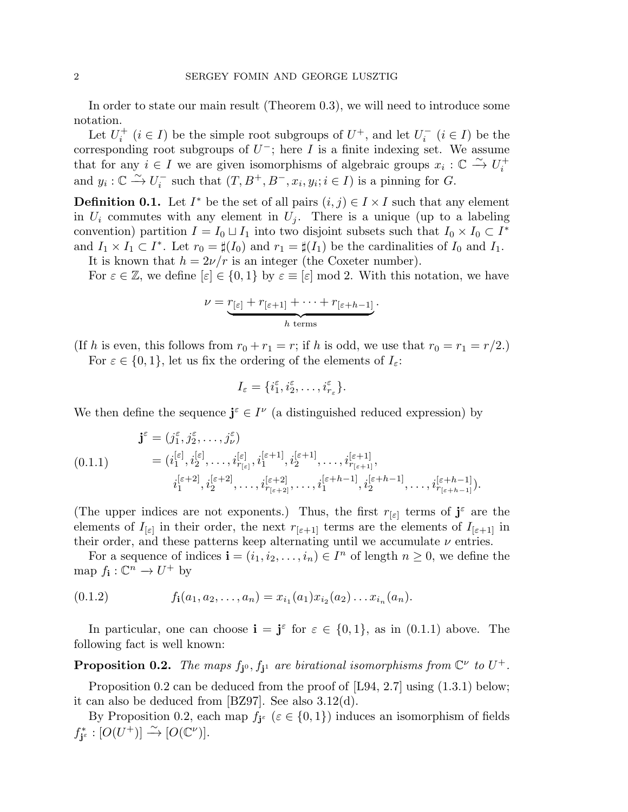In order to state our main result (Theorem 0.3), we will need to introduce some notation.

Let  $U_i^+$ <sup> $i^+$ </sup> ( $i \in I$ ) be the simple root subgroups of  $U^+$ , and let  $U_i^ \sum_{i}^{-}$   $(i \in I)$  be the corresponding root subgroups of  $U^-$ ; here I is a finite indexing set. We assume that for any  $i \in I$  we are given isomorphisms of algebraic groups  $x_i : \mathbb{C} \xrightarrow{\sim} U_i^+$ i and  $y_i : \mathbb{C} \xrightarrow{\sim} U_i^$  $i^-$  such that  $(T, B^+, B^-, x_i, y_i; i \in I)$  is a pinning for G.

**Definition 0.1.** Let  $I^*$  be the set of all pairs  $(i, j) \in I \times I$  such that any element in  $U_i$  commutes with any element in  $U_i$ . There is a unique (up to a labeling convention) partition  $I = I_0 \sqcup I_1$  into two disjoint subsets such that  $I_0 \times I_0 \subset I^*$ and  $I_1 \times I_1 \subset I^*$ . Let  $r_0 = \sharp(I_0)$  and  $r_1 = \sharp(I_1)$  be the cardinalities of  $I_0$  and  $I_1$ .

It is known that  $h = 2\nu/r$  is an integer (the Coxeter number). For  $\varepsilon \in \mathbb{Z}$ , we define  $[\varepsilon] \in \{0,1\}$  by  $\varepsilon \equiv [\varepsilon] \mod 2$ . With this notation, we have

$$
\nu = \underbrace{r_{\lbrack \varepsilon \rbrack} + r_{\lbrack \varepsilon + 1 \rbrack} + \cdots + r_{\lbrack \varepsilon + h-1 \rbrack}}_{h \text{ terms}}.
$$

(If h is even, this follows from  $r_0 + r_1 = r$ ; if h is odd, we use that  $r_0 = r_1 = r/2$ .) For  $\varepsilon \in \{0,1\}$ , let us fix the ordering of the elements of  $I_{\varepsilon}$ :

$$
I_{\varepsilon} = \{i_1^{\varepsilon}, i_2^{\varepsilon}, \dots, i_{r_{\varepsilon}}^{\varepsilon}\}.
$$

We then define the sequence  $\mathbf{j}^{\varepsilon} \in I^{\nu}$  (a distinguished reduced expression) by

$$
\mathbf{j}^{\varepsilon} = (j_1^{\varepsilon}, j_2^{\varepsilon}, \dots, j_{\nu}^{\varepsilon})
$$
\n
$$
(0.1.1) \qquad \qquad = (i_1^{[\varepsilon]}, i_2^{[\varepsilon]}, \dots, i_{r_{[\varepsilon]}}, i_1^{[\varepsilon+1]}, i_2^{[\varepsilon+1]}, \dots, i_{r_{[\varepsilon+1]}}, \dots, i_{r_{[\varepsilon+1]}}, \dots, i_1^{[\varepsilon+k-1]}, i_2^{[\varepsilon+k-1]}, \dots, i_{r_{[\varepsilon+k-1]}}^{[\varepsilon+k-2]}, \dots, i_{r_{[\varepsilon+2]}}, \dots, i_1^{[\varepsilon+k-1]}, \dots, i_{r_{[\varepsilon+k-1]}}, \dots, i_{r_{[\varepsilon+k-1]}}^{[\varepsilon+k-1]}).
$$

(The upper indices are not exponents.) Thus, the first  $r_{\lbrack \varepsilon \rbrack}$  terms of  $\mathbf{j}^{\varepsilon}$  are the elements of  $I_{\lbrack \varepsilon \rbrack}$  in their order, the next  $r_{\lbrack \varepsilon +1\rbrack}$  terms are the elements of  $I_{\lbrack \varepsilon +1\rbrack}$  in their order, and these patterns keep alternating until we accumulate  $\nu$  entries.

For a sequence of indices  $\mathbf{i} = (i_1, i_2, \dots, i_n) \in I^n$  of length  $n \geq 0$ , we define the map  $f_{\mathbf{i}}: \mathbb{C}^n \to U^+$  by

$$
(0.1.2) \t f1(a1, a2,..., an) = xi1(a1)xi2(a2)...xin(an).
$$

In particular, one can choose  $\mathbf{i} = \mathbf{j}^{\varepsilon}$  for  $\varepsilon \in \{0, 1\}$ , as in  $(0.1.1)$  above. The following fact is well known:

**Proposition 0.2.** The maps  $f_{j0}$ ,  $f_{j1}$  are birational isomorphisms from  $\mathbb{C}^{\nu}$  to  $U^{+}$ .

Proposition 0.2 can be deduced from the proof of [L94, 2.7] using  $(1.3.1)$  below; it can also be deduced from [BZ97]. See also 3.12(d).

By Proposition 0.2, each map  $f_{\mathbf{j}^{\varepsilon}} \ (\varepsilon \in \{0,1\})$  induces an isomorphism of fields  $f_{\mathbf{j}^{\varepsilon}}^{\ast}:[O(U^{+})]\overset{\sim}{\rightarrow}[O(\mathbb{C}^{\nu})].$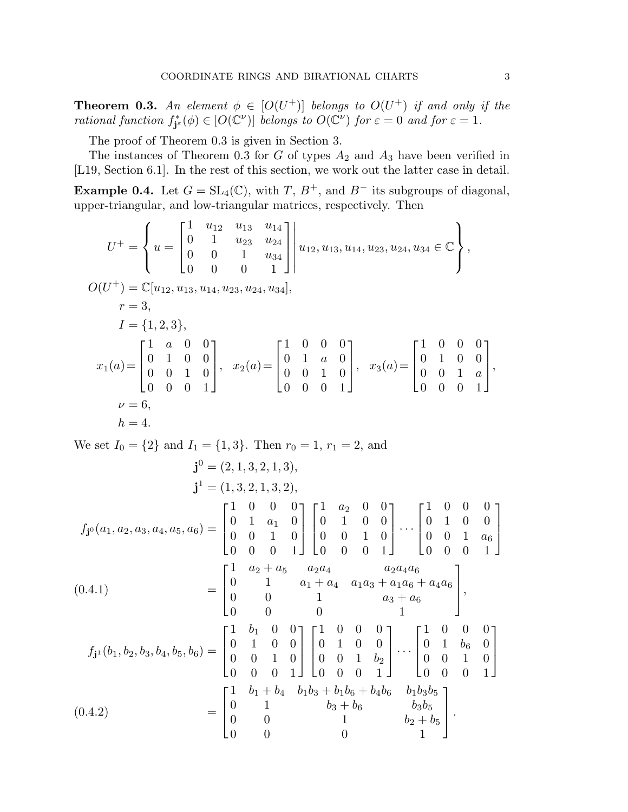**Theorem 0.3.** An element  $\phi \in [O(U^+)]$  belongs to  $O(U^+)$  if and only if the *rational function*  $f_{j^{\varepsilon}}^*(\phi) \in [O(\mathbb{C}^{\nu})]$  *belongs to*  $O(\mathbb{C}^{\nu})$  *for*  $\varepsilon = 0$  *and for*  $\varepsilon = 1$ *.* 

The proof of Theorem 0.3 is given in Section 3.

The instances of Theorem 0.3 for  $G$  of types  $A_2$  and  $A_3$  have been verified in [L19, Section 6.1]. In the rest of this section, we work out the latter case in detail.

Example 0.4. Let  $G = SL_4(\mathbb{C})$ , with  $T, B^+$ , and  $B^-$  its subgroups of diagonal, upper-triangular, and low-triangular matrices, respectively. Then

$$
U^{+} = \begin{cases} u = \begin{bmatrix} 1 & u_{12} & u_{13} & u_{14} \\ 0 & 1 & u_{23} & u_{24} \\ 0 & 0 & 1 & u_{34} \\ 0 & 0 & 0 & 1 \end{bmatrix} \end{cases} u_{12}, u_{13}, u_{14}, u_{23}, u_{24}, u_{34} \in \mathbb{C} \end{cases},
$$
  
\n
$$
O(U^{+}) = \mathbb{C}[u_{12}, u_{13}, u_{14}, u_{23}, u_{24}, u_{34}],
$$
  
\n
$$
r = 3,
$$
  
\n
$$
I = \{1, 2, 3\},
$$
  
\n
$$
x_{1}(a) = \begin{bmatrix} 1 & a & 0 & 0 \\ 0 & 1 & 0 & 0 \\ 0 & 0 & 1 & 0 \\ 0 & 0 & 0 & 1 \end{bmatrix}, x_{2}(a) = \begin{bmatrix} 1 & 0 & 0 & 0 \\ 0 & 1 & a & 0 \\ 0 & 0 & 1 & 0 \\ 0 & 0 & 0 & 1 \end{bmatrix}, x_{3}(a) = \begin{bmatrix} 1 & 0 & 0 & 0 \\ 0 & 1 & 0 & 0 \\ 0 & 0 & 1 & a \\ 0 & 0 & 0 & 1 \end{bmatrix},
$$
  
\n
$$
v = 6,
$$
  
\n
$$
h = 4.
$$

We set  $I_0 = \{2\}$  and  $I_1 = \{1, 3\}$ . Then  $r_0 = 1, r_1 = 2$ , and

$$
\mathbf{j}^{0} = (2, 1, 3, 2, 1, 3),
$$
\n
$$
\mathbf{j}^{1} = (1, 3, 2, 1, 3, 2),
$$
\n
$$
f_{\mathbf{j}^{0}}(a_{1}, a_{2}, a_{3}, a_{4}, a_{5}, a_{6}) = \begin{bmatrix} 1 & 0 & 0 & 0 \\ 0 & 1 & a_{1} & 0 \\ 0 & 0 & 1 & 0 \\ 0 & 0 & 0 & 1 \end{bmatrix} \begin{bmatrix} 1 & a_{2} & 0 & 0 \\ 0 & 1 & 0 & 0 \\ 0 & 0 & 1 & 0 \\ 0 & 0 & 0 & 1 \end{bmatrix} \cdots \begin{bmatrix} 1 & 0 & 0 & 0 \\ 0 & 1 & 0 & 0 \\ 0 & 0 & 1 & a_{6} \\ 0 & 0 & 0 & 1 \end{bmatrix}
$$
\n
$$
(0.4.1) \qquad \qquad = \begin{bmatrix} 1 & a_{2} + a_{5} & a_{2}a_{4} & a_{2}a_{4}a_{6} \\ 0 & 1 & a_{1} + a_{4} & a_{1}a_{3} + a_{1}a_{6} + a_{4}a_{6} \\ 0 & 0 & 0 & 1 \end{bmatrix},
$$
\n
$$
f_{\mathbf{j}^{1}}(b_{1}, b_{2}, b_{3}, b_{4}, b_{5}, b_{6}) = \begin{bmatrix} 1 & b_{1} & 0 & 0 \\ 0 & 1 & 0 & 0 \\ 0 & 0 & 1 & 0 \\ 0 & 0 & 0 & 1 \end{bmatrix} \begin{bmatrix} 1 & 0 & 0 & 0 \\ 0 & 1 & 0 & 0 \\ 0 & 0 & 1 & b_{2} \\ 0 & 0 & 0 & 1 \end{bmatrix} \cdots \begin{bmatrix} 1 & 0 & 0 & 0 \\ 0 & 1 & b_{6} & 0 \\ 0 & 0 & 1 & 0 \\ 0 & 0 & 0 & 1 \end{bmatrix}
$$
\n
$$
(0.4.2) \qquad = \begin{bmatrix} 1 & b_{1} + b_{4} & b_{1}b_{3} + b_{1}b_{6} + b_{4}b_{6} & b_{1}b_{3}b_{5} \\ 0 & 0 & 1 & b_{2} + b_{5} \\ 0 & 0 & 0 & 1 \end
$$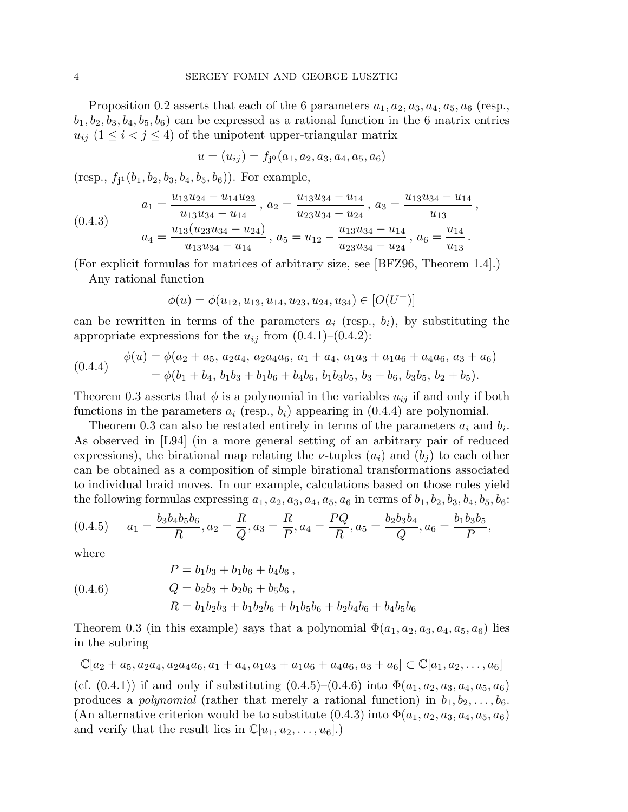Proposition 0.2 asserts that each of the 6 parameters  $a_1, a_2, a_3, a_4, a_5, a_6$  (resp.,  $b_1, b_2, b_3, b_4, b_5, b_6$  can be expressed as a rational function in the 6 matrix entries  $u_{ij}$  ( $1 \leq i < j \leq 4$ ) of the unipotent upper-triangular matrix

$$
u = (u_{ij}) = f_{j0}(a_1, a_2, a_3, a_4, a_5, a_6)
$$

 $(\text{resp., } f_{j1}(b_1, b_2, b_3, b_4, b_5, b_6))$ . For example,

$$
(0.4.3) \t\t a_1 = \frac{u_{13}u_{24} - u_{14}u_{23}}{u_{13}u_{34} - u_{14}}, \ a_2 = \frac{u_{13}u_{34} - u_{14}}{u_{23}u_{34} - u_{24}}, \ a_3 = \frac{u_{13}u_{34} - u_{14}}{u_{13}},
$$

$$
a_4 = \frac{u_{13}(u_{23}u_{34} - u_{24})}{u_{13}u_{34} - u_{14}}, \ a_5 = u_{12} - \frac{u_{13}u_{34} - u_{14}}{u_{23}u_{34} - u_{24}}, \ a_6 = \frac{u_{14}}{u_{13}}.
$$

(For explicit formulas for matrices of arbitrary size, see [BFZ96, Theorem 1.4].)

Any rational function

$$
\phi(u) = \phi(u_{12}, u_{13}, u_{14}, u_{23}, u_{24}, u_{34}) \in [O(U^+)]
$$

can be rewritten in terms of the parameters  $a_i$  (resp.,  $b_i$ ), by substituting the appropriate expressions for the  $u_{ij}$  from  $(0.4.1)$ – $(0.4.2)$ :

$$
(0.4.4) \quad \phi(u) = \phi(a_2 + a_5, a_2a_4, a_2a_4a_6, a_1 + a_4, a_1a_3 + a_1a_6 + a_4a_6, a_3 + a_6) = \phi(b_1 + b_4, b_1b_3 + b_1b_6 + b_4b_6, b_1b_3b_5, b_3 + b_6, b_3b_5, b_2 + b_5).
$$

Theorem 0.3 asserts that  $\phi$  is a polynomial in the variables  $u_{ij}$  if and only if both functions in the parameters  $a_i$  (resp.,  $b_i$ ) appearing in (0.4.4) are polynomial.

Theorem 0.3 can also be restated entirely in terms of the parameters  $a_i$  and  $b_i$ . As observed in [L94] (in a more general setting of an arbitrary pair of reduced expressions), the birational map relating the *ν*-tuples  $(a_i)$  and  $(b_j)$  to each other can be obtained as a composition of simple birational transformations associated to individual braid moves. In our example, calculations based on those rules yield the following formulas expressing  $a_1, a_2, a_3, a_4, a_5, a_6$  in terms of  $b_1, b_2, b_3, b_4, b_5, b_6$ :

$$
(0.4.5) \qquad a_1 = \frac{b_3 b_4 b_5 b_6}{R}, a_2 = \frac{R}{Q}, a_3 = \frac{R}{P}, a_4 = \frac{PQ}{R}, a_5 = \frac{b_2 b_3 b_4}{Q}, a_6 = \frac{b_1 b_3 b_5}{P},
$$

where

$$
P = b_1b_3 + b_1b_6 + b_4b_6,
$$
  
(0.4.6) 
$$
Q = b_2b_3 + b_2b_6 + b_5b_6,
$$

$$
R = b_1b_2b_3 + b_1b_2b_6 + b_1b_5b_6 + b_2b_4b_6 + b_4b_5b_6
$$

Theorem 0.3 (in this example) says that a polynomial  $\Phi(a_1, a_2, a_3, a_4, a_5, a_6)$  lies in the subring

$$
\mathbb{C}[a_2+a_5,a_2a_4,a_2a_4a_6,a_1+a_4,a_1a_3+a_1a_6+a_4a_6,a_3+a_6] \subset \mathbb{C}[a_1,a_2,\ldots,a_6]
$$

(cf.  $(0.4.1)$ ) if and only if substituting  $(0.4.5)-(0.4.6)$  into  $\Phi(a_1, a_2, a_3, a_4, a_5, a_6)$ produces a *polynomial* (rather that merely a rational function) in  $b_1, b_2, \ldots, b_6$ . (An alternative criterion would be to substitute  $(0.4.3)$  into  $\Phi(a_1, a_2, a_3, a_4, a_5, a_6)$ ) and verify that the result lies in  $\mathbb{C}[u_1, u_2, \ldots, u_6]$ .)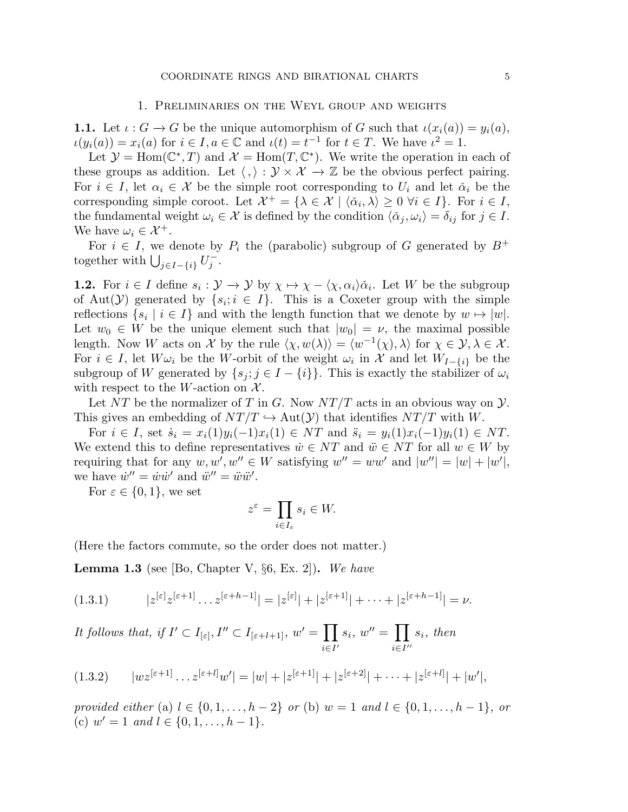### 1. Preliminaries on the Weyl group and weights

**1.1.** Let  $\iota$  :  $G \to G$  be the unique automorphism of G such that  $\iota(x_i(a)) = y_i(a)$ ,  $u(y_i(a)) = x_i(a)$  for  $i \in I, a \in \mathbb{C}$  and  $u(t) = t^{-1}$  for  $t \in T$ . We have  $i^2 = 1$ .

Let  $\mathcal{Y} = \text{Hom}(\mathbb{C}^*, T)$  and  $\mathcal{X} = \text{Hom}(T, \mathbb{C}^*)$ . We write the operation in each of these groups as addition. Let  $\langle , \rangle : \mathcal{Y} \times \mathcal{X} \to \mathbb{Z}$  be the obvious perfect pairing. For  $i \in I$ , let  $\alpha_i \in \mathcal{X}$  be the simple root corresponding to  $U_i$  and let  $\check{\alpha}_i$  be the corresponding simple coroot. Let  $\mathcal{X}^+ = \{ \lambda \in \mathcal{X} \mid \langle \check{\alpha}_i, \lambda \rangle \geq 0 \ \forall i \in I \}$ . For  $i \in I$ , the fundamental weight  $\omega_i \in \mathcal{X}$  is defined by the condition  $\langle \check{\alpha}_j, \omega_i \rangle = \delta_{ij}$  for  $j \in I$ . We have  $\omega_i \in \mathcal{X}^+$ .

For  $i \in I$ , we denote by  $P_i$  the (parabolic) subgroup of G generated by  $B^+$ together with  $\bigcup_{j\in I-\{i\}} U_j^ \frac{1}{j}$  .

**1.2.** For  $i \in I$  define  $s_i : \mathcal{Y} \to \mathcal{Y}$  by  $\chi \mapsto \chi - \langle \chi, \alpha_i \rangle \check{\alpha}_i$ . Let W be the subgroup of Aut $(Y)$  generated by  $\{s_i; i \in I\}$ . This is a Coxeter group with the simple reflections  $\{s_i \mid i \in I\}$  and with the length function that we denote by  $w \mapsto |w|$ . Let  $w_0 \in W$  be the unique element such that  $|w_0| = \nu$ , the maximal possible length. Now W acts on X by the rule  $\langle \chi, w(\lambda) \rangle = \langle w^{-1}(\chi), \lambda \rangle$  for  $\chi \in \mathcal{Y}, \lambda \in \mathcal{X}$ . For  $i \in I$ , let  $W\omega_i$  be the W-orbit of the weight  $\omega_i$  in X and let  $W_{I-\{i\}}$  be the subgroup of W generated by  $\{s_j; j \in I - \{i\}\}\$ . This is exactly the stabilizer of  $\omega_i$ with respect to the W-action on  $\mathcal{X}$ .

Let NT be the normalizer of T in G. Now  $NT/T$  acts in an obvious way on  $\mathcal{Y}$ . This gives an embedding of  $NT/T \hookrightarrow Aut(\mathcal{Y})$  that identifies  $NT/T$  with W.

For  $i \in I$ , set  $\dot{s}_i = x_i(1)y_i(-1)x_i(1) \in NT$  and  $\ddot{s}_i = y_i(1)x_i(-1)y_i(1) \in NT$ . We extend this to define representatives  $\dot{w} \in NT$  and  $\ddot{w} \in NT$  for all  $w \in W$  by requiring that for any  $w, w', w'' \in W$  satisfying  $w'' = ww'$  and  $|w''| = |w| + |w'|$ , we have  $\dot{w}'' = \dot{w}\dot{w}'$  and  $\ddot{w}'' = \ddot{w}\ddot{w}'$ .

For  $\varepsilon \in \{0, 1\}$ , we set

$$
z^{\varepsilon} = \prod_{i \in I_{\varepsilon}} s_i \in W.
$$

(Here the factors commute, so the order does not matter.)

Lemma 1.3 (see [Bo, Chapter V, §6, Ex. 2]). *We have*

$$
(1.3.1) \t |z^{[\varepsilon]}z^{[\varepsilon+1]}\dots z^{[\varepsilon+h-1]}| = |z^{[\varepsilon]}| + |z^{[\varepsilon+1]}| + \dots + |z^{[\varepsilon+h-1]}| = \nu.
$$

*It follows that, if*  $I' \subset I_{[\varepsilon]}, I'' \subset I_{[\varepsilon+l+1]}, w' = \prod$  $i \in I'$  $s_i, w'' = \prod$ i∈I ′′ si*, then*

$$
(1.3.2) \t |w z^{[\varepsilon+1]} \dots z^{[\varepsilon+l]} w'| = |w| + |z^{[\varepsilon+1]}| + |z^{[\varepsilon+2]}| + \dots + |z^{[\varepsilon+l]}| + |w'|,
$$

*provided either* (a)  $l \in \{0, 1, ..., h-2\}$  *or* (b)  $w = 1$  *and*  $l \in \{0, 1, ..., h-1\}$ , *or* (c)  $w' = 1$  *and*  $l \in \{0, 1, \ldots, h - 1\}.$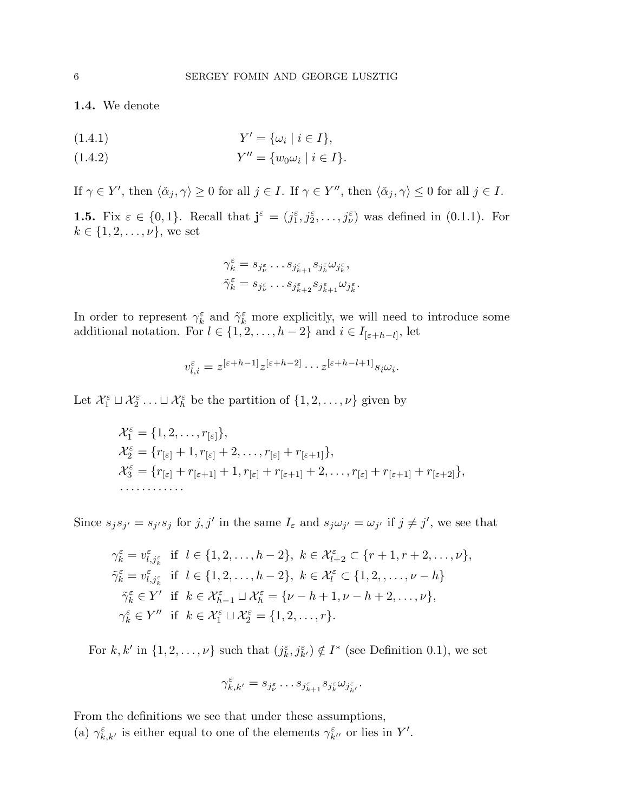1.4. We denote

(1.4.1) 
$$
Y' = \{\omega_i \mid i \in I\},\
$$

(1.4.2) 
$$
Y'' = \{w_0 \omega_i \mid i \in I\}.
$$

If  $\gamma \in Y'$ , then  $\langle \check{\alpha}_j, \gamma \rangle \ge 0$  for all  $j \in I$ . If  $\gamma \in Y''$ , then  $\langle \check{\alpha}_j, \gamma \rangle \le 0$  for all  $j \in I$ .

**1.5.** Fix  $\varepsilon \in \{0, 1\}$ . Recall that  $\mathbf{j}^{\varepsilon} = (j_1^{\varepsilon}, j_2^{\varepsilon}, \dots, j_{\nu}^{\varepsilon})$  was defined in  $(0.1.1)$ . For  $k \in \{1, 2, ..., \nu\}$ , we set

$$
\gamma_k^{\varepsilon} = s_{j_{\nu}^{\varepsilon}} \dots s_{j_{k+1}^{\varepsilon}} s_{j_k^{\varepsilon}} \omega_{j_k^{\varepsilon}},
$$
  

$$
\tilde{\gamma}_k^{\varepsilon} = s_{j_{\nu}^{\varepsilon}} \dots s_{j_{k+2}^{\varepsilon}} s_{j_{k+1}^{\varepsilon}} \omega_{j_k^{\varepsilon}}
$$

.

In order to represent  $\gamma_k^{\varepsilon}$  and  $\tilde{\gamma}_k^{\varepsilon}$  more explicitly, we will need to introduce some additional notation. For  $l \in \{1, 2, \ldots, h-2\}$  and  $i \in I_{[\varepsilon+h-l]}$ , let

$$
v_{l,i}^{\varepsilon} = z^{[\varepsilon+h-1]} z^{[\varepsilon+h-2]} \cdots z^{[\varepsilon+h-l+1]} s_i \omega_i.
$$

Let  $\mathcal{X}_1^{\varepsilon} \sqcup \mathcal{X}_2^{\varepsilon} \ldots \sqcup \mathcal{X}_h^{\varepsilon}$  be the partition of  $\{1, 2, \ldots, \nu\}$  given by

$$
\mathcal{X}_1^{\varepsilon} = \{1, 2, \dots, r_{[\varepsilon]}\},
$$
  
\n
$$
\mathcal{X}_2^{\varepsilon} = \{r_{[\varepsilon]} + 1, r_{[\varepsilon]} + 2, \dots, r_{[\varepsilon]} + r_{[\varepsilon+1]}\},
$$
  
\n
$$
\mathcal{X}_3^{\varepsilon} = \{r_{[\varepsilon]} + r_{[\varepsilon+1]} + 1, r_{[\varepsilon]} + r_{[\varepsilon+1]} + 2, \dots, r_{[\varepsilon]} + r_{[\varepsilon+1]} + r_{[\varepsilon+2]}\},
$$
  
\n
$$
\dots
$$

Since  $s_j s_{j'} = s_{j'} s_j$  for  $j, j'$  in the same  $I_\varepsilon$  and  $s_j \omega_{j'} = \omega_{j'}$  if  $j \neq j'$ , we see that

$$
\gamma_k^{\varepsilon} = v_{l,j_k^{\varepsilon}}^{\varepsilon} \text{ if } l \in \{1, 2, \dots, h-2\}, k \in \mathcal{X}_{l+2}^{\varepsilon} \subset \{r+1, r+2, \dots, \nu\},
$$
  
\n
$$
\tilde{\gamma}_k^{\varepsilon} = v_{l,j_k^{\varepsilon}}^{\varepsilon} \text{ if } l \in \{1, 2, \dots, h-2\}, k \in \mathcal{X}_l^{\varepsilon} \subset \{1, 2, \dots, \nu - h\}
$$
  
\n
$$
\tilde{\gamma}_k^{\varepsilon} \in Y' \text{ if } k \in \mathcal{X}_{h-1}^{\varepsilon} \sqcup \mathcal{X}_h^{\varepsilon} = \{\nu - h + 1, \nu - h + 2, \dots, \nu\},
$$
  
\n
$$
\gamma_k^{\varepsilon} \in Y'' \text{ if } k \in \mathcal{X}_1^{\varepsilon} \sqcup \mathcal{X}_2^{\varepsilon} = \{1, 2, \dots, r\}.
$$

For k, k' in  $\{1, 2, ..., \nu\}$  such that  $(j_k^{\varepsilon}, j_{k'}^{\varepsilon}) \notin I^*$  (see Definition 0.1), we set

$$
\gamma_{k,k'}^{\varepsilon}=s_{j_{\nu}^{\varepsilon}}\dots s_{j_{k+1}^{\varepsilon}}s_{j_{k}^{\varepsilon}}\omega_{j_{k'}^{\varepsilon}}.
$$

From the definitions we see that under these assumptions, (a)  $\gamma_{k,k'}^{\varepsilon}$  is either equal to one of the elements  $\gamma_{k''}^{\varepsilon}$  or lies in Y'.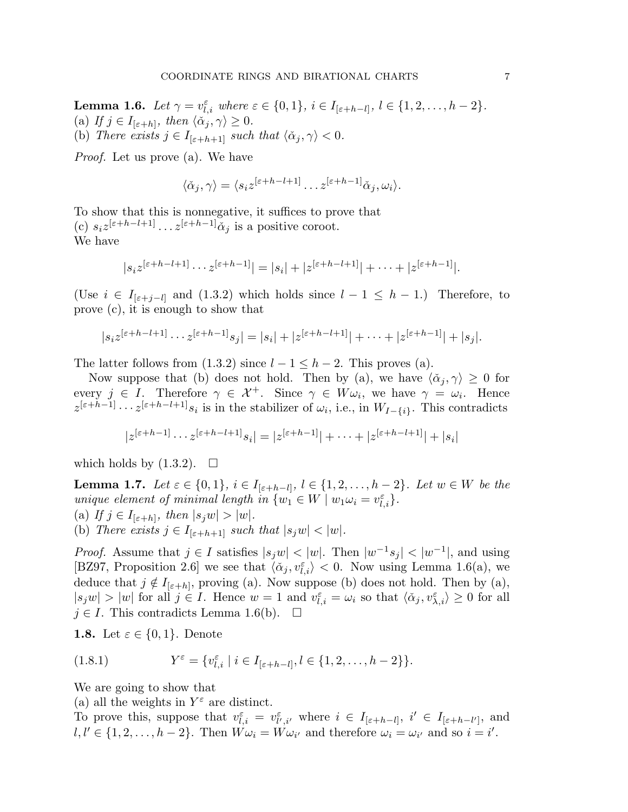**Lemma 1.6.** *Let*  $\gamma = v_{l,i}^{\varepsilon}$  *where*  $\varepsilon \in \{0,1\}$ ,  $i \in I_{[\varepsilon+h-l]}, l \in \{1,2,\ldots,h-2\}$ *.* (a) If  $j \in I_{[\varepsilon+h]}$ , then  $\langle \check{\alpha}_j, \gamma \rangle \geq 0$ . (b) *There exists*  $j \in I_{[\varepsilon+h+1]}$  *such that*  $\langle \check{\alpha}_j, \gamma \rangle < 0$ *.* 

*Proof.* Let us prove (a). We have

$$
\langle \check{\alpha}_j, \gamma \rangle = \langle s_i z^{[\varepsilon + h - l + 1]} \dots z^{[\varepsilon + h - 1]} \check{\alpha}_j, \omega_i \rangle.
$$

To show that this is nonnegative, it suffices to prove that (c)  $s_i z^{[\varepsilon+h-l+1]} \dots z^{[\varepsilon+h-1]} \check{\alpha}_j$  is a positive coroot. We have

$$
|s_i z^{[\varepsilon+h-l+1]}\cdots z^{[\varepsilon+h-1]}|=|s_i|+|z^{[\varepsilon+h-l+1]}|+\cdots+|z^{[\varepsilon+h-1]}|.
$$

(Use  $i \in I_{[\varepsilon+j-l]}$  and (1.3.2) which holds since  $l-1 \leq h-1$ .) Therefore, to prove (c), it is enough to show that

$$
|s_i z^{[\varepsilon+h-l+1]}\cdots z^{[\varepsilon+h-1]}s_j|=|s_i|+|z^{[\varepsilon+h-l+1]}|+\cdots+|z^{[\varepsilon+h-1]}|+|s_j|.
$$

The latter follows from  $(1.3.2)$  since  $l - 1 \leq h - 2$ . This proves  $(a)$ .

Now suppose that (b) does not hold. Then by (a), we have  $\langle \check{\alpha}_i, \gamma \rangle \geq 0$  for every  $j \in I$ . Therefore  $\gamma \in \mathcal{X}^+$ . Since  $\gamma \in W \omega_i$ , we have  $\gamma = \omega_i$ . Hence  $z^{[\varepsilon+h-1]}\cdots z^{[\varepsilon+h-l+1]}s_i$  is in the stabilizer of  $\omega_i$ , i.e., in  $W_{I-\{i\}}$ . This contradicts

$$
|z^{[\varepsilon+h-1]}\cdots z^{[\varepsilon+h-l+1]}s_i|=|z^{[\varepsilon+h-1]}|+\cdots+|z^{[\varepsilon+h-l+1]}|+|s_i|
$$

which holds by  $(1.3.2)$ .  $\Box$ 

**Lemma 1.7.** Let  $\varepsilon \in \{0,1\}$ ,  $i \in I_{[\varepsilon+h-l]}$ ,  $l \in \{1,2,\ldots,h-2\}$ . Let  $w \in W$  be the *unique element of minimal length in*  $\{w_1 \in W \mid w_1 \omega_i = v_{l,i}^{\varepsilon}\}.$ (a) If  $j \in I_{[\varepsilon+h]}$ , then  $|s_j w| > |w|$ . (b) *There exists*  $j \in I_{[\varepsilon+h+1]}$  *such that*  $|s_j w| < |w|$ *.* 

*Proof.* Assume that  $j \in I$  satisfies  $|s_j w| < |w|$ . Then  $|w^{-1} s_j| < |w^{-1}|$ , and using [BZ97, Proposition 2.6] we see that  $\langle \check{\alpha}_j, v_{l,i}^{\varepsilon} \rangle < 0$ . Now using Lemma 1.6(a), we deduce that  $j \notin I_{[\varepsilon+h]}$ , proving (a). Now suppose (b) does not hold. Then by (a),  $|s_j w| > |w|$  for all  $j \in I$ . Hence  $w = 1$  and  $v_{l,i}^{\varepsilon} = \omega_i$  so that  $\langle \alpha_j, v_{\lambda,i}^{\varepsilon} \rangle \geq 0$  for all  $j \in I$ . This contradicts Lemma 1.6(b).  $\Box$ 

**1.8.** Let  $\varepsilon \in \{0,1\}$ . Denote

(1.8.1) 
$$
Y^{\varepsilon} = \{v_{l,i}^{\varepsilon} \mid i \in I_{[\varepsilon+h-l]}, l \in \{1,2,\ldots,h-2\}\}.
$$

We are going to show that

(a) all the weights in  $Y^{\varepsilon}$  are distinct.

To prove this, suppose that  $v_{l,i}^{\varepsilon} = v_{l',i'}^{\varepsilon}$  where  $i \in I_{[\varepsilon+h-l]}, i' \in I_{[\varepsilon+h-l']},$  and  $l, l' \in \{1, 2, \ldots, h-2\}$ . Then  $W\omega_i = W\omega_{i'}$  and therefore  $\omega_i = \omega_{i'}$  and so  $i = i'$ .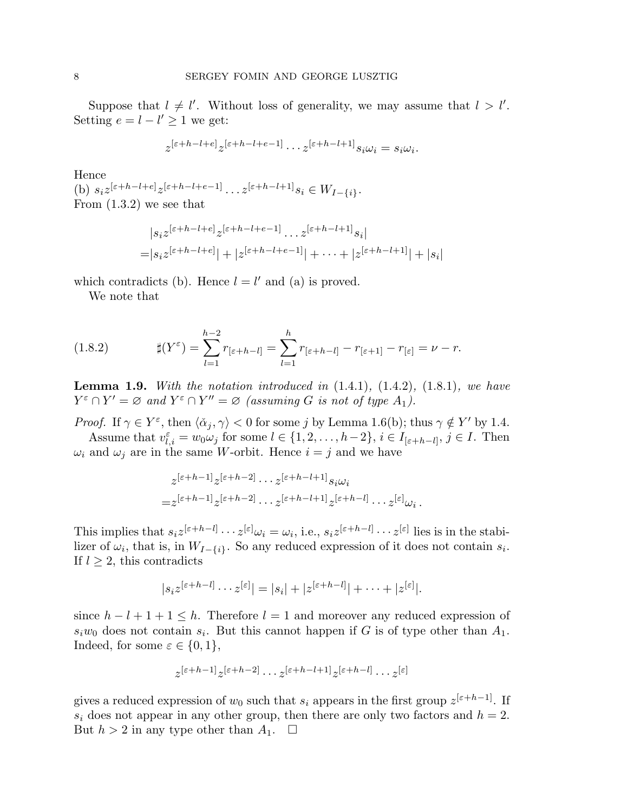Suppose that  $l \neq l'$ . Without loss of generality, we may assume that  $l > l'$ . Setting  $e = l - l' \geq 1$  we get:

$$
z^{[\varepsilon+h-l+e]} z^{[\varepsilon+h-l+e-1]} \cdots z^{[\varepsilon+h-l+1]} s_i \omega_i = s_i \omega_i.
$$

Hence

(b)  $s_i z^{[\varepsilon+h-l+e]} z^{[\varepsilon+h-l+e-1]} \dots z^{[\varepsilon+h-l+1]} s_i \in W_{I-\{i\}}.$ From (1.3.2) we see that

$$
|s_i z^{[\varepsilon+h-l+e]} z^{[\varepsilon+h-l+e-1]} \dots z^{[\varepsilon+h-l+1]} s_i|
$$
  
=  $|s_i z^{[\varepsilon+h-l+e]}| + |z^{[\varepsilon+h-l+e-1]}| + \dots + |z^{[\varepsilon+h-l+1]}| + |s_i|$ 

which contradicts (b). Hence  $l = l'$  and (a) is proved.

We note that

(1.8.2) 
$$
\sharp(Y^{\varepsilon}) = \sum_{l=1}^{h-2} r_{[\varepsilon+h-l]} = \sum_{l=1}^{h} r_{[\varepsilon+h-l]} - r_{[\varepsilon+1]} - r_{[\varepsilon]} = \nu - r.
$$

Lemma 1.9. *With the notation introduced in* (1.4.1)*,* (1.4.2)*,* (1.8.1)*, we have*  $Y^{\varepsilon} \cap Y' = \varnothing$  and  $Y^{\varepsilon} \cap Y'' = \varnothing$  (assuming G is not of type  $A_1$ ).

*Proof.* If  $\gamma \in Y^{\varepsilon}$ , then  $\langle \check{\alpha}_j, \gamma \rangle < 0$  for some j by Lemma 1.6(b); thus  $\gamma \notin Y'$  by 1.4. Assume that  $v_{l,i}^{\varepsilon} = w_0 \omega_j$  for some  $l \in \{1, 2, ..., h-2\}, i \in I_{[\varepsilon+h-l]}, j \in I$ . Then

 $\omega_i$  and  $\omega_j$  are in the same W-orbit. Hence  $i = j$  and we have

$$
z^{[\varepsilon+h-1]} z^{[\varepsilon+h-2]} \cdots z^{[\varepsilon+h-l+1]} s_i \omega_i
$$
  
=  $z^{[\varepsilon+h-1]} z^{[\varepsilon+h-2]} \cdots z^{[\varepsilon+h-l+1]} z^{[\varepsilon+h-l]} \cdots z^{[\varepsilon]} \omega_i.$ 

This implies that  $s_i z^{[\varepsilon+h-l]} \cdots z^{[\varepsilon]} \omega_i = \omega_i$ , i.e.,  $s_i z^{[\varepsilon+h-l]} \cdots z^{[\varepsilon]}$  lies is in the stabilizer of  $\omega_i$ , that is, in  $W_{I-\{i\}}$ . So any reduced expression of it does not contain  $s_i$ . If  $l \geq 2$ , this contradicts

$$
|s_i z^{[\varepsilon+h-l]} \cdots z^{[\varepsilon]}| = |s_i| + |z^{[\varepsilon+h-l]}| + \cdots + |z^{[\varepsilon]}|.
$$

since  $h - l + 1 + 1 \leq h$ . Therefore  $l = 1$  and moreover any reduced expression of  $s_i w_0$  does not contain  $s_i$ . But this cannot happen if G is of type other than  $A_1$ . Indeed, for some  $\varepsilon \in \{0,1\},\$ 

$$
z^{[\varepsilon+h-1]}z^{[\varepsilon+h-2]}\cdots z^{[\varepsilon+h-l+1]}z^{[\varepsilon+h-l]}\cdots z^{[\varepsilon]}
$$

gives a reduced expression of  $w_0$  such that  $s_i$  appears in the first group  $z^{[\varepsilon+h-1]}$ . If  $s_i$  does not appear in any other group, then there are only two factors and  $h = 2$ . But  $h > 2$  in any type other than  $A_1$ .  $\Box$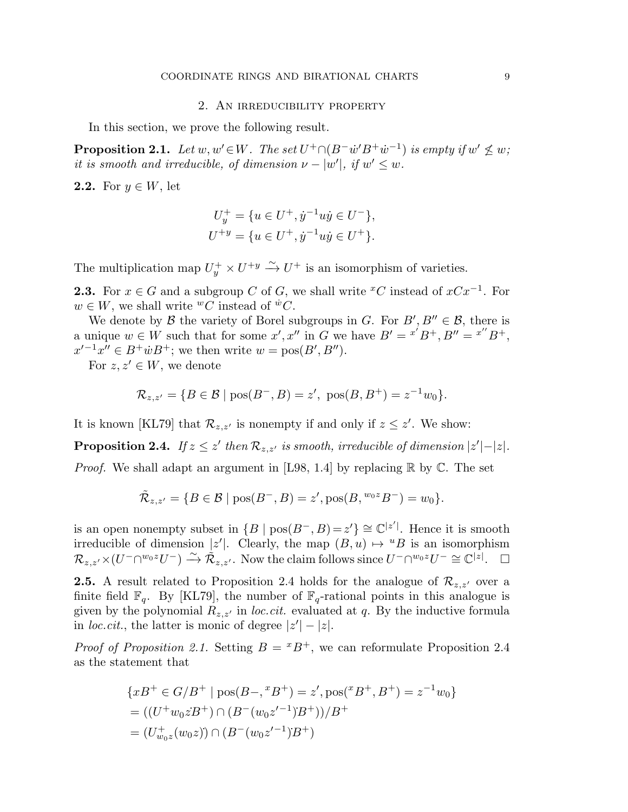#### 2. An irreducibility property

In this section, we prove the following result.

**Proposition 2.1.** Let  $w, w' \in W$ . The set  $U^+ \cap (B^- \dot{w}' B^+ \dot{w}^{-1})$  is empty if  $w' \nleq w$ ; *it is smooth and irreducible, of dimension*  $\nu - |w'|$ *, if*  $w' \leq w$ *.* 

2.2. For  $y \in W$ , let

$$
U_y^+ = \{ u \in U^+, \dot{y}^{-1} u \dot{y} \in U^-\},
$$
  

$$
U^{+y} = \{ u \in U^+, \dot{y}^{-1} u \dot{y} \in U^+\}.
$$

The multiplication map  $U_y^+ \times U^{+y} \xrightarrow{\sim} U^+$  is an isomorphism of varieties.

**2.3.** For  $x \in G$  and a subgroup C of G, we shall write <sup>x</sup>C instead of  $xCx^{-1}$ . For  $w \in W$ , we shall write  ${}^wC$  instead of  ${}^{\dot w}C$ .

We denote by  $\mathcal B$  the variety of Borel subgroups in G. For  $B', B'' \in \mathcal B$ , there is a unique  $w \in W$  such that for some  $x', x''$  in G we have  $B' = x'B^+, B'' = x''B^+,$  $x'^{-1}x'' \in B^+ \dot{w} B^+$ ; we then write  $w = \text{pos}(B', B'')$ .

For  $z, z' \in W$ , we denote

$$
\mathcal{R}_{z,z'} = \{ B \in \mathcal{B} \mid \text{pos}(B^-, B) = z', \text{ pos}(B, B^+) = z^{-1} w_0 \}.
$$

It is known [KL79] that  $\mathcal{R}_{z,z'}$  is nonempty if and only if  $z \leq z'$ . We show:

**Proposition 2.4.** *If*  $z \leq z'$  *then*  $\mathcal{R}_{z,z'}$  *is smooth, irreducible of dimension*  $|z'| - |z|$ *.* 

*Proof.* We shall adapt an argument in [L98, 1.4] by replacing  $\mathbb{R}$  by  $\mathbb{C}$ . The set

$$
\tilde{\mathcal{R}}_{z,z'} = \{ B \in \mathcal{B} \mid \text{pos}(B^-, B) = z', \text{pos}(B, {}^{w_0 z}B^-) = w_0 \}.
$$

is an open nonempty subset in  $\{B \mid \text{pos}(B^-, B) = z'\} \cong \mathbb{C}^{|z'|}$ . Hence it is smooth irreducible of dimension  $|z'|$ . Clearly, the map  $(B, u) \mapsto {}^uB$  is an isomorphism  $\mathcal{R}_{z,z'} \times (U^-\cap {}^{w_0z}U^-) \stackrel{\sim}{\longrightarrow} \mathcal{\tilde{R}}_{z,z'}.$  Now the claim follows since  $U^-\cap {}^{w_0z}U^- \cong \mathbb{C}^{|\bar{z}|}.$ 

**2.5.** A result related to Proposition 2.4 holds for the analogue of  $\mathcal{R}_{z,z'}$  over a finite field  $\mathbb{F}_q$ . By [KL79], the number of  $\mathbb{F}_q$ -rational points in this analogue is given by the polynomial  $R_{z,z'}$  in *loc.cit.* evaluated at q. By the inductive formula in *loc.cit.*, the latter is monic of degree  $|z'|-|z|$ .

*Proof of Proposition 2.1.* Setting  $B = {}^{x}B^{+}$ , we can reformulate Proposition 2.4 as the statement that

$$
\{xB^{+} \in G/B^{+} \mid \text{pos}(B-,^{x}B^{+}) = z', \text{pos}(^{x}B^{+}, B^{+}) = z^{-1}w_{0}\}
$$
  
= ((U^{+}w\_{0}zB^{+}) \cap (B^{-}(w\_{0}z'^{-1})B^{+}))/B^{+}  
= (U^{+}\_{w\_{0}z}(w\_{0}z)) \cap (B^{-}(w\_{0}z'^{-1})B^{+})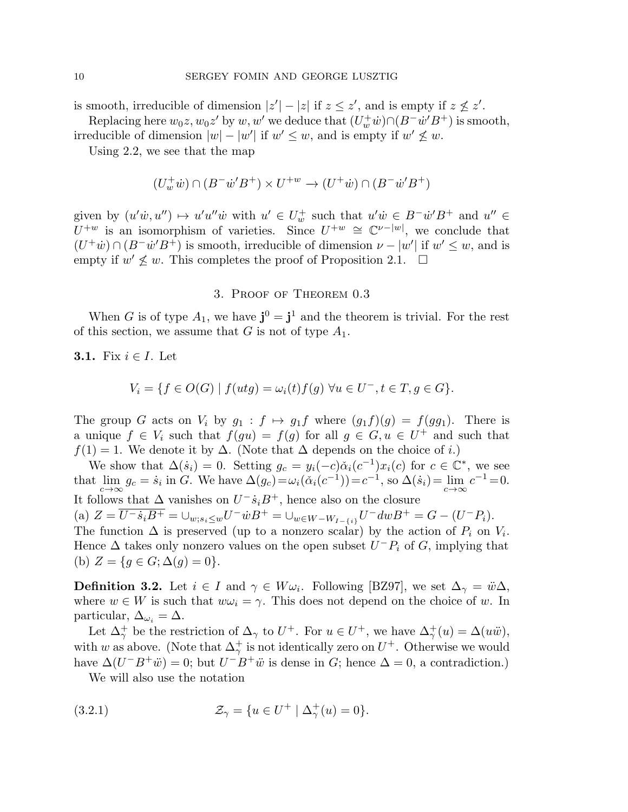is smooth, irreducible of dimension  $|z'|-|z|$  if  $z \leq z'$ , and is empty if  $z \nleq z'$ .

Replacing here  $w_0z, w_0z'$  by  $w, w'$  we deduce that  $(U_w^+ \dot w) \cap (B^- \dot w' B^+)$  is smooth,

irreducible of dimension  $|w| - |w'|$  if  $w' \leq w$ , and is empty if  $w' \nleq w$ .

Using 2.2, we see that the map

$$
(U_w^+ \dot w) \cap (B^- \dot w' B^+) \times U^{+w} \to (U^+ \dot w) \cap (B^- \dot w' B^+)
$$

given by  $(u'\dot{w}, u'') \mapsto u'u''\dot{w}$  with  $u' \in U_w^+$  such that  $u'\dot{w} \in B^- \dot{w}'B^+$  and  $u'' \in$  $U^{+w}$  is an isomorphism of varieties. Since  $U^{+w} \cong \mathbb{C}^{\nu-|w|}$ , we conclude that  $(U^{\dagger} \dot{w}) \cap (B^- \dot{w}' B^{\dagger})$  is smooth, irreducible of dimension  $\nu - |w'|$  if  $w' \leq w$ , and is empty if  $w' \nleq w$ . This completes the proof of Proposition 2.1.  $\square$ 

# 3. Proof of Theorem 0.3

When G is of type  $A_1$ , we have  $\mathbf{j}^0 = \mathbf{j}^1$  and the theorem is trivial. For the rest of this section, we assume that G is not of type  $A_1$ .

**3.1.** Fix  $i \in I$ . Let

$$
V_i = \{ f \in O(G) \mid f(uts) = \omega_i(t) f(g) \,\,\forall u \in U^-, t \in T, g \in G \}.
$$

The group G acts on  $V_i$  by  $g_1 : f \mapsto g_1f$  where  $(g_1f)(g) = f(gg_1)$ . There is a unique  $f \in V_i$  such that  $f(gu) = f(g)$  for all  $g \in G, u \in U^+$  and such that  $f(1) = 1$ . We denote it by  $\Delta$ . (Note that  $\Delta$  depends on the choice of *i*.)

We show that  $\Delta(\dot{s}_i) = 0$ . Setting  $g_c = y_i(-c)\check{\alpha}_i(c^{-1})x_i(c)$  for  $c \in \mathbb{C}^*$ , we see that  $\lim_{c \to \infty} g_c = \dot{s}_i$  in G. We have  $\Delta(g_c) = \omega_i(\check{\alpha}_i(c^{-1})) = c^{-1}$ , so  $\Delta(\dot{s}_i) = \lim_{c \to \infty} c^{-1} = 0$ . It follows that  $\Delta$  vanishes on  $U^{-} \dot{s}_i B^{+}$ , hence also on the closure (a)  $Z = \overline{U^{-} \dot{s}_i B^{+}} = \bigcup_{w; s_i \leq w} U^{-} \dot{w} B^{+} = \bigcup_{w \in W - W_{I - \{i\}}} U^{-} dw B^{+} = G - (U^{-} P_i).$ The function  $\Delta$  is preserved (up to a nonzero scalar) by the action of  $P_i$  on  $V_i$ . Hence  $\Delta$  takes only nonzero values on the open subset  $U^{-}P_{i}$  of G, implying that (b)  $Z = \{g \in G; \Delta(g) = 0\}.$ 

**Definition 3.2.** Let  $i \in I$  and  $\gamma \in W \omega_i$ . Following [BZ97], we set  $\Delta_{\gamma} = \ddot{w} \Delta$ , where  $w \in W$  is such that  $w\omega_i = \gamma$ . This does not depend on the choice of w. In particular,  $\Delta_{\omega_i} = \Delta$ .

Let  $\Delta^+_\gamma$  be the restriction of  $\Delta_\gamma$  to  $U^+$ . For  $u \in U^+$ , we have  $\Delta^+_\gamma(u) = \Delta(u\ddot{w}),$ with w as above. (Note that  $\Delta^+_\gamma$  is not identically zero on  $U^+$ . Otherwise we would have  $\Delta(U^-B^+\ddot{w})=0$ ; but  $U^-B^+\ddot{w}$  is dense in G; hence  $\Delta=0$ , a contradiction.)

We will also use the notation

(3.2.1) 
$$
\mathcal{Z}_{\gamma} = \{ u \in U^+ \mid \Delta^+_{\gamma}(u) = 0 \}.
$$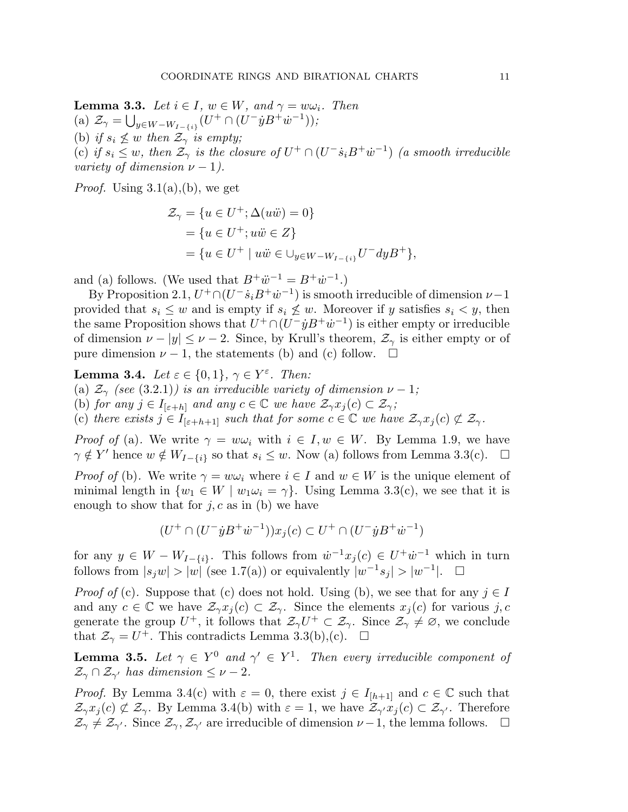**Lemma 3.3.** *Let*  $i \in I$ *,*  $w \in W$ *, and*  $\gamma = w\omega_i$ *. Then* (a)  $\mathcal{Z}_{\gamma} = \bigcup_{y \in W - W_{I - \{i\}}}(U^+ \cap (U^- \dot{y} B^+ \dot{w}^{-1}));$ (b) *if*  $s_i \nleq w$  *then*  $\mathcal{Z}_{\gamma}$  *is empty;* (c) if  $s_i \leq w$ , then  $\mathcal{Z}_{\gamma}$  is the closure of  $U^+ \cap (U^- \dot{s}_i B^+ \dot{w}^{-1})$  (a smooth irreducible *variety of dimension*  $\nu - 1$ *)*.

*Proof.* Using  $3.1(a)$ , (b), we get

$$
\mathcal{Z}_{\gamma} = \{ u \in U^{+}; \Delta(u\ddot{w}) = 0 \} = \{ u \in U^{+}; u\ddot{w} \in Z \} = \{ u \in U^{+} \mid u\ddot{w} \in \bigcup_{y \in W - W_{I - \{i\}}} U^{-} dy B^{+} \},\
$$

and (a) follows. (We used that  $B^+\ddot{w}^{-1} = B^+\dot{w}^{-1}$ .)

By Proposition 2.1,  $U^+\cap (U^-s_iB^+\dot w^{-1})$  is smooth irreducible of dimension  $\nu-1$ provided that  $s_i \leq w$  and is empty if  $s_i \not\leq w$ . Moreover if y satisfies  $s_i \leq y$ , then the same Proposition shows that  $U^+ \cap (U^- \dot{y} B^+ \dot{w}^{-1})$  is either empty or irreducible of dimension  $\nu - |y| \leq \nu - 2$ . Since, by Krull's theorem,  $\mathcal{Z}_{\gamma}$  is either empty or of pure dimension  $\nu - 1$ , the statements (b) and (c) follow.  $\square$ 

**Lemma 3.4.** *Let*  $\varepsilon \in \{0, 1\}$ ,  $\gamma \in Y^{\varepsilon}$ *. Then:* 

(a)  $\mathcal{Z}_{\gamma}$  *(see* (3.2.1)*)* is an irreducible variety of dimension  $\nu - 1$ ;

(b) *for any*  $j \in I_{[\varepsilon+h]}$  *and any*  $c \in \mathbb{C}$  *we have*  $\mathcal{Z}_{\gamma}x_j(c) \subset \mathcal{Z}_{\gamma}$ ;

(c) *there exists*  $j \in I_{[\varepsilon+h+1]}$  *such that for some*  $c \in \mathbb{C}$  *we have*  $\mathcal{Z}_{\gamma}x_i(c) \not\subset \mathcal{Z}_{\gamma}$ *.* 

*Proof of* (a). We write  $\gamma = w\omega_i$  with  $i \in I, w \in W$ . By Lemma 1.9, we have  $\gamma \notin Y'$  hence  $w \notin W_{I-\{i\}}$  so that  $s_i \leq w$ . Now (a) follows from Lemma 3.3(c).  $\square$ 

*Proof of* (b). We write  $\gamma = w\omega_i$  where  $i \in I$  and  $w \in W$  is the unique element of minimal length in  $\{w_1 \in W \mid w_1 \omega_i = \gamma\}$ . Using Lemma 3.3(c), we see that it is enough to show that for  $j, c$  as in (b) we have

$$
(U^+\cap(U^-{\dot{y}}B^+{\dot{w}}^{-1}))x_j(c)\subset U^+\cap(U^-{\dot{y}}B^+{\dot{w}}^{-1})
$$

for any  $y \in W - W_{I-\{i\}}$ . This follows from  $\dot{w}^{-1}x_j(c) \in U^+\dot{w}^{-1}$  which in turn follows from  $|s_j w| > |w|$  (see 1.7(a)) or equivalently  $|w^{-1} s_j| > |w^{-1}|$ .  $\Box$ 

*Proof of* (c). Suppose that (c) does not hold. Using (b), we see that for any  $j \in I$ and any  $c \in \mathbb{C}$  we have  $\mathcal{Z}_{\gamma}x_j(c) \subset \mathcal{Z}_{\gamma}$ . Since the elements  $x_j(c)$  for various j, c generate the group  $U^+$ , it follows that  $\mathcal{Z}_{\gamma}U^+\subset\mathcal{Z}_{\gamma}$ . Since  $\mathcal{Z}_{\gamma}^{\gamma}\neq\emptyset$ , we conclude that  $\mathcal{Z}_{\gamma} = U^+$ . This contradicts Lemma 3.3(b),(c).  $\Box$ 

**Lemma 3.5.** Let  $\gamma \in Y^0$  and  $\gamma' \in Y^1$ . Then every irreducible component of  $\mathcal{Z}_{\gamma} \cap \mathcal{Z}_{\gamma'}$  has dimension  $\leq \nu-2$ .

*Proof.* By Lemma 3.4(c) with  $\varepsilon = 0$ , there exist  $j \in I_{[h+1]}$  and  $c \in \mathbb{C}$  such that  $\mathcal{Z}_{\gamma}x_j(c) \not\subset \mathcal{Z}_{\gamma}$ . By Lemma 3.4(b) with  $\varepsilon = 1$ , we have  $\mathcal{Z}_{\gamma'}x_j(c) \subset \mathcal{Z}_{\gamma'}$ . Therefore  $\mathcal{Z}_{\gamma} \neq \mathcal{Z}_{\gamma'}$ . Since  $\mathcal{Z}_{\gamma}, \mathcal{Z}_{\gamma'}$  are irreducible of dimension  $\nu - 1$ , the lemma follows.  $\square$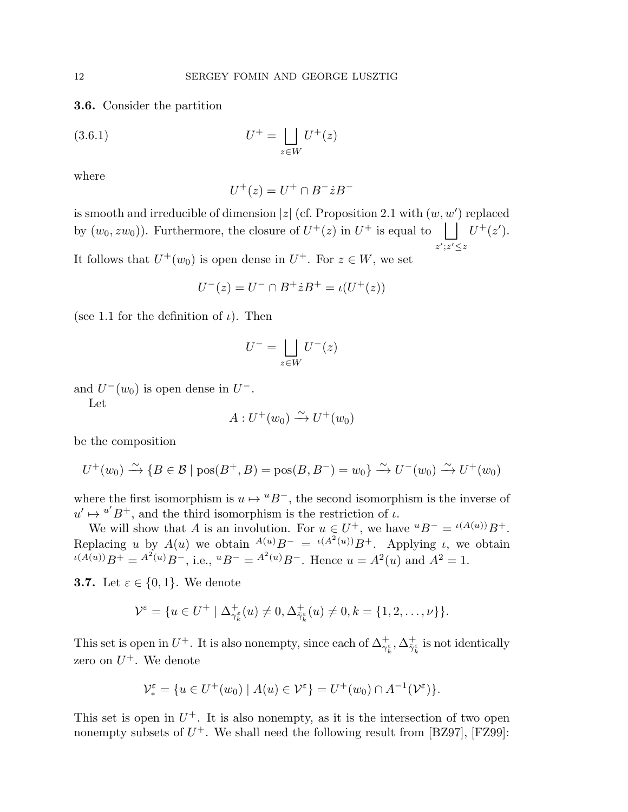3.6. Consider the partition

$$
(3.6.1)\qquad \qquad U^+ = \bigsqcup_{z \in W} U^+(z)
$$

where

$$
U^+(z) = U^+ \cap B^- \dot{z} B^-
$$

is smooth and irreducible of dimension |z| (cf. Proposition 2.1 with  $(w, w')$  replaced by  $(w_0, zw_0)$ . Furthermore, the closure of  $U^+(z)$  in  $U^+$  is equal to  $\Box$  $z';z' \leq z$  $U^+(z').$ 

It follows that  $U^+(w_0)$  is open dense in  $U^+$ . For  $z \in W$ , we set

$$
U^-(z) = U^- \cap B^+ \dot{z} B^+ = \iota(U^+(z))
$$

(see 1.1 for the definition of  $\iota$ ). Then

$$
U^- = \bigsqcup_{z \in W} U^-(z)
$$

and  $U^-(w_0)$  is open dense in  $U^-$ .

Let

$$
A: U^+(w_0) \xrightarrow{\sim} U^+(w_0)
$$

be the composition

$$
U^+(w_0) \xrightarrow{\sim} \{B \in \mathcal{B} \mid \text{pos}(B^+, B) = \text{pos}(B, B^-) = w_0\} \xrightarrow{\sim} U^-(w_0) \xrightarrow{\sim} U^+(w_0)
$$

where the first isomorphism is  $u \mapsto {}^uB^-$ , the second isomorphism is the inverse of  $u' \mapsto u' B^+$ , and the third isomorphism is the restriction of  $\iota$ .

We will show that A is an involution. For  $u \in U^+$ , we have  $^uB^- = \iota^{(A(u))}B^+$ . Replacing u by  $A(u)$  we obtain  $A^{(u)}B^{-} = \iota(A^{2}(u))B^{+}$ . Applying u, we obtain  $u(A(u))B^+ = A^2(u)B^-$ , i.e.,  $uB^- = A^2(u)B^-$ . Hence  $u = A^2(u)$  and  $A^2 = 1$ .

**3.7.** Let  $\varepsilon \in \{0, 1\}$ . We denote

$$
\mathcal{V}^{\varepsilon} = \{ u \in U^+ \mid \Delta^+_{\gamma^\varepsilon_k}(u) \neq 0, \Delta^+_{\tilde{\gamma}^\varepsilon_k}(u) \neq 0, k = \{1, 2, \dots, \nu\} \}.
$$

This set is open in  $U^+$ . It is also nonempty, since each of  $\Delta_{\gamma_k^{\varepsilon}}^+$ ,  $\Delta_{\tilde{\gamma}_k^{\varepsilon}}^+$  $\tilde{\gamma}_k^{\varepsilon}$  is not identically zero on  $U^+$ . We denote

$$
\mathcal{V}_{*}^{\varepsilon} = \{ u \in U^{+}(w_{0}) \mid A(u) \in \mathcal{V}^{\varepsilon} \} = U^{+}(w_{0}) \cap A^{-1}(\mathcal{V}^{\varepsilon}) \}.
$$

This set is open in  $U^+$ . It is also nonempty, as it is the intersection of two open nonempty subsets of  $U^+$ . We shall need the following result from [BZ97], [FZ99]: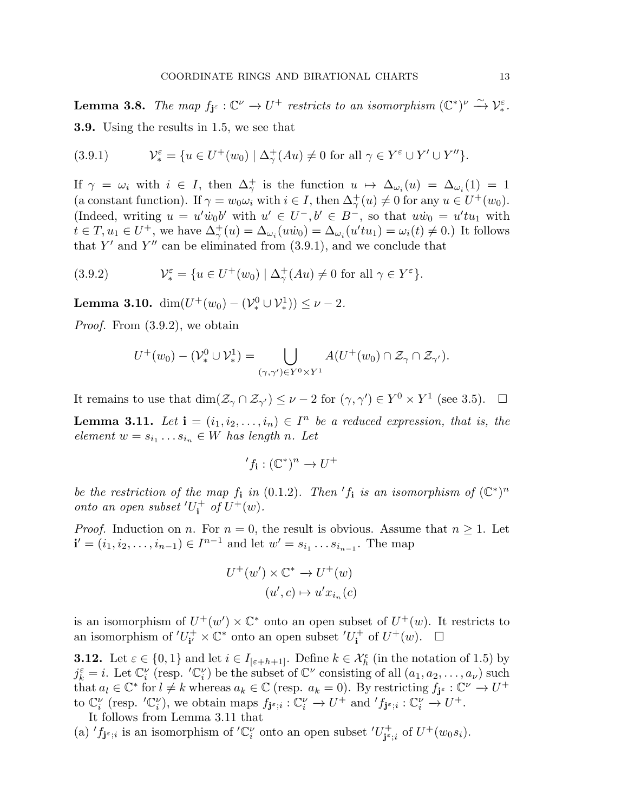**Lemma 3.8.** The map  $f_{\mathbf{j}^{\varepsilon}} : \mathbb{C}^{\nu} \to U^+$  restricts to an isomorphism  $(\mathbb{C}^*)^{\nu} \xrightarrow{\sim} \mathcal{V}_{*}^{\varepsilon}$ . 3.9. Using the results in 1.5, we see that

(3.9.1) 
$$
\mathcal{V}_{*}^{\varepsilon} = \{ u \in U^{+}(w_{0}) \mid \Delta_{\gamma}^{+}(Au) \neq 0 \text{ for all } \gamma \in Y^{\varepsilon} \cup Y' \cup Y'' \}.
$$

If  $\gamma = \omega_i$  with  $i \in I$ , then  $\Delta^+_{\gamma}$  is the function  $u \mapsto \Delta_{\omega_i}(u) = \Delta_{\omega_i}(1) = 1$ (a constant function). If  $\gamma = w_0 \omega_i$  with  $i \in I$ , then  $\Delta^+_{\gamma}(u) \neq 0$  for any  $u \in U^+(w_0)$ . (Indeed, writing  $u = u' \dot{w}_0 b'$  with  $u' \in U^-, b' \in B^-$ , so that  $u \dot{w}_0 = u' t u_1$  with  $t \in T, u_1 \in U^+$ , we have  $\Delta^+_{\gamma}(u) = \Delta_{\omega_i}(u\dot{w}_0) = \Delta_{\omega_i}(u'tu_1) = \omega_i(t) \neq 0$ .) It follows that Y' and Y'' can be eliminated from  $(3.9.1)$ , and we conclude that

(3.9.2) 
$$
\mathcal{V}_{*}^{\varepsilon} = \{ u \in U^{+}(w_{0}) \mid \Delta_{\gamma}^{+}(Au) \neq 0 \text{ for all } \gamma \in Y^{\varepsilon} \}.
$$

**Lemma 3.10.** dim $(U^+(w_0) - (\mathcal{V}^0_*) \cup \mathcal{V}^1_*)) \leq \nu - 2$ .

*Proof.* From (3.9.2), we obtain

$$
U^+(w_0) - (\mathcal{V}^0_* \cup \mathcal{V}^1_*) = \bigcup_{(\gamma,\gamma') \in Y^0 \times Y^1} A(U^+(w_0) \cap \mathcal{Z}_\gamma \cap \mathcal{Z}_{\gamma'}).
$$

It remains to use that  $\dim(\mathcal{Z}_{\gamma} \cap \mathcal{Z}_{\gamma'}) \leq \nu - 2$  for  $(\gamma, \gamma') \in Y^0 \times Y^1$  (see 3.5).  $\Box$ 

**Lemma 3.11.** Let  $\mathbf{i} = (i_1, i_2, \ldots, i_n) \in I^n$  be a reduced expression, that is, the  $element \ w = s_{i_1} \ldots s_{i_n} \in W$  *has length n. Let* 

$$
'f_{\mathbf{i}}: (\mathbb{C}^*)^n \to U^+
$$

*be the restriction of the map*  $f_i$  *in* (0.1.2)*. Then*  $'f_i$  *is an isomorphism of*  $(\mathbb{C}^*)^n$ *onto an open subset* ′U +  $\int_{\mathbf{i}}^{+}$  *of*  $U^{+}(w)$ *.* 

*Proof.* Induction on n. For  $n = 0$ , the result is obvious. Assume that  $n \geq 1$ . Let  $\mathbf{i}' = (i_1, i_2, \dots, i_{n-1}) \in I^{n-1}$  and let  $w' = s_{i_1} \dots s_{i_{n-1}}$ . The map

$$
U^+(w') \times \mathbb{C}^* \to U^+(w)
$$

$$
(u', c) \mapsto u'x_{i_n}(c)
$$

is an isomorphism of  $U^+(w') \times \mathbb{C}^*$  onto an open subset of  $U^+(w)$ . It restricts to an isomorphism of  $'U_{\mathbf{i}'}^{+}$  $i^+ \times \mathbb{C}^*$  onto an open subset  $'U_i^+$  $\mathbf{u}^+$  of  $U^+(w)$ .  $\Box$ 

**3.12.** Let  $\varepsilon \in \{0,1\}$  and let  $i \in I_{[\varepsilon+h+1]}$ . Define  $k \in \mathcal{X}_h^{\epsilon}$  (in the notation of 1.5) by  $j_k^{\varepsilon} = i$ . Let  $\mathbb{C}_i^{\nu}$  (resp. ' $\mathbb{C}_i^{\nu}$ ) be the subset of  $\mathbb{C}^{\nu}$  consisting of all  $(a_1, a_2, \ldots, a_{\nu})$  such that  $a_l \in \mathbb{C}^*$  for  $l \neq k$  whereas  $a_k \in \mathbb{C}$  (resp.  $a_k = 0$ ). By restricting  $f_{\mathbf{j}^{\varepsilon}} : \mathbb{C}^{\nu} \to U^+$ to  $\mathbb{C}_i^{\nu}$  (resp.  $'\mathbb{C}_i^{\nu}$ ), we obtain maps  $f_{\mathbf{j}^{\varepsilon};i} : \mathbb{C}_i^{\nu} \to U^+$  and  $'f_{\mathbf{j}^{\varepsilon};i} : \mathbb{C}_i^{\nu} \to U^+$ .

It follows from Lemma 3.11 that

(a)  $'f_{\mathbf{j}^{\varepsilon};i}$  is an isomorphism of  $'\mathbb{C}_{i}^{\nu}$  onto an open subset  $'U_{\mathbf{j}^{\varepsilon}}^{+}$  $j^{\epsilon}_{\epsilon;i}$  of  $U^+(w_0s_i)$ .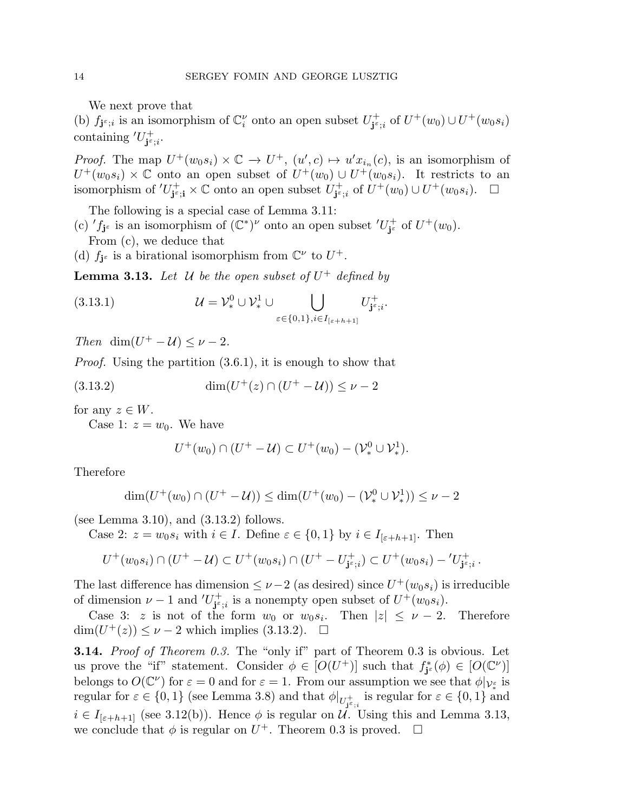We next prove that

(b)  $f_{\mathbf{j}^{\varepsilon};i}$  is an isomorphism of  $\mathbb{C}_i^{\nu}$  onto an open subset  $U_{\mathbf{j}^{\varepsilon}}^+$  $j^{\epsilon};_i$  of  $U^+(w_0) \cup U^+(w_0s_i)$ containing  $'U_{i^{\varepsilon}}^{+}$  $^{+}_{\mathbf{j}^{\varepsilon};i}.$ 

*Proof.* The map  $U^+(w_0s_i) \times \mathbb{C} \to U^+, (u',c) \mapsto u'x_{i_n}(c)$ , is an isomorphism of  $U^+(w_0s_i) \times \mathbb{C}$  onto an open subset of  $U^+(w_0) \cup U^+(w_0s_i)$ . It restricts to an isomorphism of  $'U_{i\epsilon}^+$  $j^{\epsilon}$ <sub>j</sub> $\epsilon$ ;  $\times$   $\mathbb{C}$  onto an open subset  $U^+_{\mathbf{j}^{\epsilon}}$  $j_{\mathfrak{s};i}^+$  of  $U^+(w_0) \cup U^+(w_0s_i)$ .  $\Box$ 

The following is a special case of Lemma 3.11:

(c)  $'f_{j^{\varepsilon}}$  is an isomorphism of  $(\mathbb{C}^*)^{\nu}$  onto an open subset  $'U_{j^{\varepsilon}}^+$  $j^{\epsilon}$  of  $U^+(w_0)$ .

From (c), we deduce that

(d)  $f_{j^{\varepsilon}}$  is a birational isomorphism from  $\mathbb{C}^{\nu}$  to  $U^{+}$ .

**Lemma 3.13.** Let  $U$  be the open subset of  $U^+$  defined by

(3.13.1) 
$$
\mathcal{U} = \mathcal{V}_{*}^{0} \cup \mathcal{V}_{*}^{1} \cup \bigcup_{\varepsilon \in \{0,1\}, i \in I_{[\varepsilon+h+1]}} U_{\mathbf{j}^{\varepsilon};i}^{+}.
$$

*Then* dim $(U^+ - U) \leq \nu - 2$ *.* 

*Proof.* Using the partition  $(3.6.1)$ , it is enough to show that

$$
(3.13.2) \qquad \dim(U^+(z) \cap (U^+ - \mathcal{U})) \le \nu - 2
$$

for any  $z \in W$ .

Case 1:  $z = w_0$ . We have

$$
U^+(w_0) \cap (U^+ - \mathcal{U}) \subset U^+(w_0) - (\mathcal{V}^0_* \cup \mathcal{V}^1_*).
$$

Therefore

$$
\dim(U^+(w_0) \cap (U^+ - \mathcal{U})) \le \dim(U^+(w_0) - (\mathcal{V}^0_* \cup \mathcal{V}^1_*)) \le \nu - 2
$$

(see Lemma 3.10), and  $(3.13.2)$  follows.

Case 2:  $z = w_0 s_i$  with  $i \in I$ . Define  $\varepsilon \in \{0, 1\}$  by  $i \in I_{[\varepsilon+h+1]}$ . Then

$$
U^+(w_0s_i) \cap (U^+ - \mathcal{U}) \subset U^+(w_0s_i) \cap (U^+ - U^+_{\mathbf{j}^{\varepsilon};i}) \subset U^+(w_0s_i) - 'U^+_{\mathbf{j}^{\varepsilon};i}.
$$

The last difference has dimension  $\leq \nu - 2$  (as desired) since  $U^+(w_0 s_i)$  is irreducible of dimension  $\nu - 1$  and  $'U_{i^{\varepsilon}}^{+}$  $j_{\tilde{\mathbf{s}},i}^{\dagger}$  is a nonempty open subset of  $U^+(w_0s_i)$ .

Case 3: z is not of the form  $w_0$  or  $w_0s_i$ . Then  $|z| \leq \nu - 2$ . Therefore  $\dim(U^+(z)) \leq \nu - 2$  which implies (3.13.2).  $\square$ 

3.14. *Proof of Theorem 0.3.* The "only if" part of Theorem 0.3 is obvious. Let us prove the "if" statement. Consider  $\phi \in [O(U^+)]$  such that  $f_{\mathbf{j}^{\varepsilon}}^*(\phi) \in [O(\mathbb{C}^{\nu})]$ belongs to  $O(\mathbb{C}^{\nu})$  for  $\varepsilon = 0$  and for  $\varepsilon = 1$ . From our assumption we see that  $\phi|_{\mathcal{V}_{*}^{\varepsilon}}$  is regular for  $\varepsilon \in \{0,1\}$  (see Lemma 3.8) and that  $\phi|_{U^+_{\mathbf{j}^{\varepsilon};i}}$  is regular for  $\varepsilon \in \{0,1\}$  and  $i \in I_{[\varepsilon+h+1]}$  (see 3.12(b)). Hence  $\phi$  is regular on U. Using this and Lemma 3.13, we conclude that  $\phi$  is regular on  $U^+$ . Theorem 0.3 is proved.  $\Box$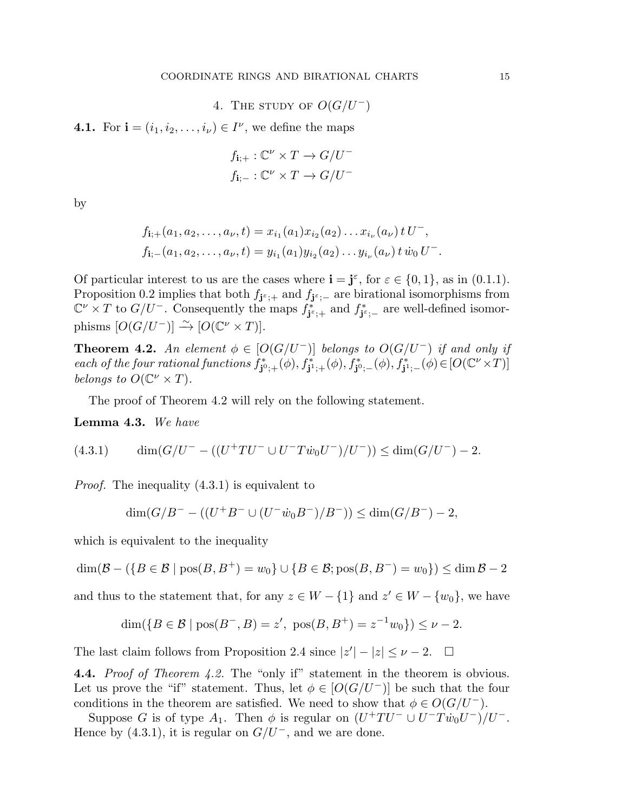4. THE STUDY OF  $O(G/U^-)$ 

**4.1.** For  $\mathbf{i} = (i_1, i_2, \dots, i_\nu) \in I^\nu$ , we define the maps

$$
f_{\mathbf{i};+}: \mathbb{C}^{\nu} \times T \to G/U^-
$$

$$
f_{\mathbf{i};-}: \mathbb{C}^{\nu} \times T \to G/U^-
$$

by

$$
f_{\mathbf{i};+}(a_1, a_2, \dots, a_{\nu}, t) = x_{i_1}(a_1) x_{i_2}(a_2) \dots x_{i_{\nu}}(a_{\nu}) t U^-,
$$
  

$$
f_{\mathbf{i};-}(a_1, a_2, \dots, a_{\nu}, t) = y_{i_1}(a_1) y_{i_2}(a_2) \dots y_{i_{\nu}}(a_{\nu}) t w_0 U^-.
$$

Of particular interest to us are the cases where  $\mathbf{i} = \mathbf{j}^{\varepsilon}$ , for  $\varepsilon \in \{0, 1\}$ , as in (0.1.1). Proposition 0.2 implies that both  $f_{\mathbf{j}^{\varepsilon};+}$  and  $f_{\mathbf{j}^{\varepsilon};-}$  are birational isomorphisms from  $\mathbb{C}^{\nu} \times T$  to  $G/U^-$ . Consequently the maps  $f_{\mathbf{j}^{\varepsilon};+}^*$  and  $f_{\mathbf{j}^{\varepsilon};-}^*$  are well-defined isomorphisms  $[O(G/U^-)] \stackrel{\sim}{\rightarrow} [O(\mathbb{C}^{\nu} \times T)].$ 

**Theorem 4.2.** An element  $\phi \in [O(G/U^-)]$  belongs to  $O(G/U^-)$  if and only if  $\emph{each of the four rational functions} \ f^*_{\mathbf{j}^0;+}(\phi), f^*_{\mathbf{j}^1;+}(\phi), f^*_{\mathbf{j}^0;-}(\phi), f^*_{\mathbf{j}^1;-}(\phi) \in [O(\mathbb{C}^{\nu} \times T)]$ *belongs to*  $O(\mathbb{C}^{\nu} \times T)$ *.* 

The proof of Theorem 4.2 will rely on the following statement.

Lemma 4.3. *We have*

$$
(4.3.1) \qquad \dim(G/U^- - ((U^+TU^- \cup U^-T\dot{w}_0U^-)/U^-)) \le \dim(G/U^-) - 2.
$$

*Proof.* The inequality  $(4.3.1)$  is equivalent to

$$
\dim(G/B^- - ((U^+B^- \cup (U^- \dot{w}_0 B^-)/B^-)) \le \dim(G/B^-) - 2,
$$

which is equivalent to the inequality

 $\dim(\mathcal{B} - (\{B \in \mathcal{B} \mid \text{pos}(B, B^+) = w_0\} \cup \{B \in \mathcal{B}; \text{pos}(B, B^-) = w_0\}) \leq \dim \mathcal{B} - 2$ 

and thus to the statement that, for any  $z \in W - \{1\}$  and  $z' \in W - \{w_0\}$ , we have

$$
\dim({B \in \mathcal{B} \mid pos(B^-, B) = z', pos(B, B^+) = z^{-1}w_0}) \le \nu - 2.
$$

The last claim follows from Proposition 2.4 since  $|z'| - |z| \le \nu - 2$ .  $\Box$ 

4.4. *Proof of Theorem 4.2.* The "only if" statement in the theorem is obvious. Let us prove the "if" statement. Thus, let  $\phi \in [O(G/U^-)]$  be such that the four conditions in the theorem are satisfied. We need to show that  $\phi \in O(G/U^-)$ .

Suppose G is of type  $A_1$ . Then  $\phi$  is regular on  $(U^+TU^- \cup U^-Tw_0U^-)/U^-$ . Hence by  $(4.3.1)$ , it is regular on  $G/U^-$ , and we are done.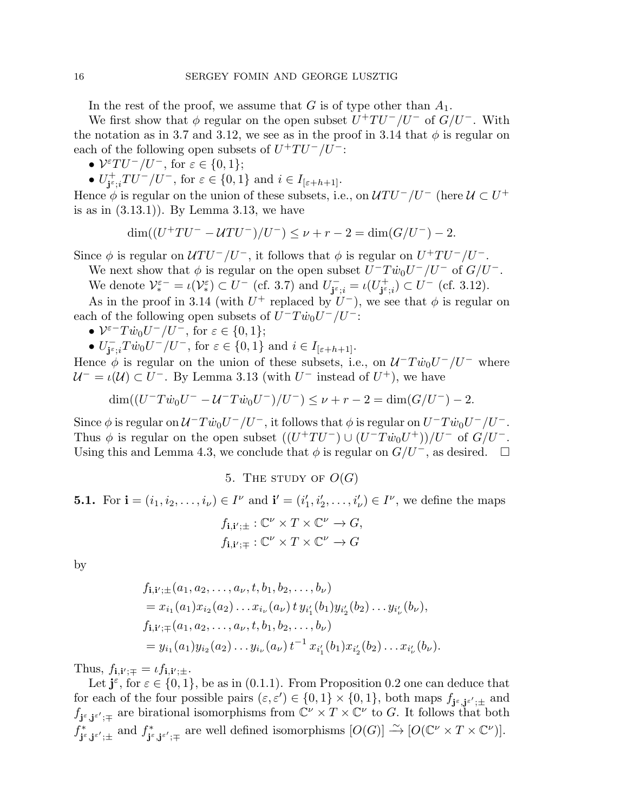In the rest of the proof, we assume that G is of type other than  $A_1$ .

We first show that  $\phi$  regular on the open subset  $U^+TU^-/U^-$  of  $G/U^-$ . With the notation as in 3.7 and 3.12, we see as in the proof in 3.14 that  $\phi$  is regular on each of the following open subsets of  $U^+TU^-/U^-$ :

•  $V^{\varepsilon}TU^{-}/U^{-}$ , for  $\varepsilon \in \{0,1\};$ 

 $\bullet$   $U^+_{\textbf{i}^{\varepsilon}}$  $j_{\varepsilon,i}^+TU^-/U^-$ , for  $\varepsilon \in \{0,1\}$  and  $i \in I_{[\varepsilon+h+1]}$ .

Hence  $\phi$  is regular on the union of these subsets, i.e., on  $\mathcal{U}TU^-/U^-$  (here  $\mathcal{U} \subset U^+$ is as in  $(3.13.1)$ . By Lemma 3.13, we have

$$
\dim((U^+TU^- - UTU^-)/U^-) \le \nu + r - 2 = \dim(G/U^-) - 2.
$$

Since  $\phi$  is regular on  $\mathcal{U}TU^{-}/U^{-}$ , it follows that  $\phi$  is regular on  $U^{+}TU^{-}/U^{-}$ .

We next show that  $\phi$  is regular on the open subset  $U^- T \dot{w}_0 U^- / U^-$  of  $G/U^-$ . We denote  $\mathcal{V}_{*}^{\varepsilon-} = \iota(\mathcal{V}_{*}^{\varepsilon}) \subset U^{-}$  (cf. 3.7) and  $U_{\mathbf{j}^{\varepsilon}}^{-}$ 

 $\overline{\mathbf{j}^{\varepsilon}}_{;\overline{i}} = \iota(U_{\mathbf{j}^{\varepsilon}}^{+})$  $j^{\epsilon}_{\mathbf{j}^{\epsilon};i}) \subset U^{-}$  (cf. 3.12).

As in the proof in 3.14 (with  $U^+$  replaced by  $U^-$ ), we see that  $\phi$  is regular on each of the following open subsets of  $U^-T\dot{w}_0U^-/U^-$ :

- $V^{\varepsilon T} \dot{w}_0 U^- / U^-$ , for  $\varepsilon \in \{0, 1\};$
- $\bullet$   $U_{\mathbf{i}^{\varepsilon}}^ \overline{j}_{j^{\varepsilon};i} T \dot{w}_0 U^{-}/U^{-}$ , for  $\varepsilon \in \{0,1\}$  and  $i \in I_{[\varepsilon+h+1]}$ .

Hence  $\phi$  is regular on the union of these subsets, i.e., on  $\mathcal{U}^-T\dot{w}_0U^-/U^-$  where  $\mathcal{U}^- = \iota(\mathcal{U}) \subset U^-$ . By Lemma 3.13 (with  $U^-$  instead of  $U^+$ ), we have

$$
\dim((U^-T\dot{w}_0U^- - \mathcal{U}^-T\dot{w}_0U^-)/U^-) \le \nu + r - 2 = \dim(G/U^-) - 2.
$$

Since  $\phi$  is regular on  $\mathcal{U}^- T \dot{w}_0 U^- / U^-$ , it follows that  $\phi$  is regular on  $U^- T \dot{w}_0 U^- / U^-$ . Thus  $\phi$  is regular on the open subset  $((U^+TU^-) \cup (U^-Tw_0U^+))/U^-$  of  $G/U^-$ . Using this and Lemma 4.3, we conclude that  $\phi$  is regular on  $G/U^-$ , as desired.  $\Box$ 

5. THE STUDY OF  $O(G)$ 

**5.1.** For  $\mathbf{i} = (i_1, i_2, \dots, i_\nu) \in I^\nu$  and  $\mathbf{i}' = (i'_1, i'_2, \dots, i'_\nu) \in I^\nu$ , we define the maps

$$
f_{\mathbf{i},\mathbf{i}';\pm} : \mathbb{C}^{\nu} \times T \times \mathbb{C}^{\nu} \to G,
$$
  

$$
f_{\mathbf{i},\mathbf{i}';\mp} : \mathbb{C}^{\nu} \times T \times \mathbb{C}^{\nu} \to G
$$

by

$$
f_{\mathbf{i},\mathbf{i'};\pm}(a_1,a_2,\ldots,a_\nu,t,b_1,b_2,\ldots,b_\nu)
$$
  
=  $x_{i_1}(a_1)x_{i_2}(a_2)\ldots x_{i_\nu}(a_\nu) t y_{i'_1}(b_1)y_{i'_2}(b_2)\ldots y_{i'_\nu}(b_\nu),$   

$$
f_{\mathbf{i},\mathbf{i'};\mp}(a_1,a_2,\ldots,a_\nu,t,b_1,b_2,\ldots,b_\nu)
$$
  
=  $y_{i_1}(a_1)y_{i_2}(a_2)\ldots y_{i_\nu}(a_\nu) t^{-1} x_{i'_1}(b_1)x_{i'_2}(b_2)\ldots x_{i'_\nu}(b_\nu).$ 

Thus,  $f_{\mathbf{i},\mathbf{i}';\mp} = \iota f_{\mathbf{i},\mathbf{i}';\pm}$ .

Let  $\mathbf{j}^{\varepsilon}$ , for  $\varepsilon \in \{0,1\}$ , be as in (0.1.1). From Proposition 0.2 one can deduce that for each of the four possible pairs  $(\varepsilon, \varepsilon') \in \{0, 1\} \times \{0, 1\}$ , both maps  $f_{j^{\varepsilon}, j^{\varepsilon'}; \pm}$  and  $f_{\mathbf{j}^{\varepsilon},\mathbf{j}^{\varepsilon'};\mp}$  are birational isomorphisms from  $\mathbb{C}^{\nu}\times T\times \mathbb{C}^{\nu}$  to G. It follows that both  $f_{\boldsymbol{\cdot}\varepsilon}^*$  $j^{\varepsilon}, j^{\varepsilon'}; \pm$  and  $f^*_{\mathbf{j}^{\varepsilon}}$  $j^*_{\mathbf{S}} j_{\mathbf{S}} j_{\mathbf{S}} j_{\mathbf{S}} j_{\mathbf{S}}$  are well defined isomorphisms  $[O(G)] \xrightarrow{\sim} [O(\mathbb{C}^{\nu} \times T \times \mathbb{C}^{\nu})].$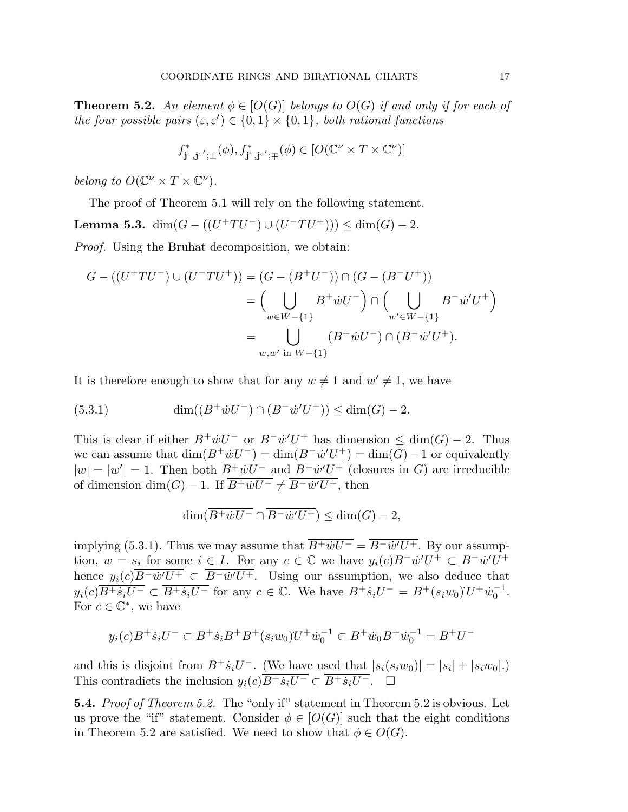**Theorem 5.2.** An element  $\phi \in [O(G)]$  belongs to  $O(G)$  if and only if for each of *the four possible pairs*  $(\varepsilon, \varepsilon') \in \{0, 1\} \times \{0, 1\}$ *, both rational functions* 

$$
f^*_{\mathbf{j}^\varepsilon, \mathbf{j}^{\varepsilon'};\pm}(\phi), f^*_{\mathbf{j}^\varepsilon, \mathbf{j}^{\varepsilon'};\mp}(\phi) \in [O(\mathbb{C}^\nu \times T \times \mathbb{C}^\nu)]
$$

*belong to*  $O(\mathbb{C}^{\nu} \times T \times \mathbb{C}^{\nu})$ *.* 

The proof of Theorem 5.1 will rely on the following statement.

Lemma 5.3.  $\dim(G - ((U^+TU^-) \cup (U^-TU^+))) \leq \dim(G) - 2$ .

*Proof.* Using the Bruhat decomposition, we obtain:

$$
G - ((U^+TU^-) \cup (U^-TU^+)) = (G - (B^+U^-)) \cap (G - (B^-U^+))
$$
  
= 
$$
\left(\bigcup_{w \in W - \{1\}} B^+ \dot{w} U^- \right) \cap \left(\bigcup_{w' \in W - \{1\}} B^- \dot{w}' U^+ \right)
$$
  
= 
$$
\bigcup_{w,w' \text{ in } W - \{1\}} (B^+ \dot{w} U^-) \cap (B^- \dot{w}' U^+).
$$

It is therefore enough to show that for any  $w \neq 1$  and  $w' \neq 1$ , we have

(5.3.1) 
$$
\dim((B^+ \dot{w} U^-) \cap (B^- \dot{w}' U^+)) \le \dim(G) - 2.
$$

This is clear if either  $B^+ \dot{w} U^-$  or  $B^- \dot{w}' U^+$  has dimension  $\leq \dim(G) - 2$ . Thus we can assume that  $\dim(B^+\dot wU^-) = \dim(B^-\dot w'U^+) = \dim(G) - 1$  or equivalently  $|w| = |w'| = 1$ . Then both  $\overline{B^+ \dot{w} U^-}$  and  $\overline{B^- \dot{w}' U^+}$  (closures in G) are irreducible of dimension  $\dim(G) - 1$ . If  $B^+ \dot{w} U^- \neq B^- \dot{w}' U^+$ , then

$$
\dim(\overline{B^+ \dot w U^-} \cap \overline{B^- \dot w' U^+}) \le \dim(G) - 2,
$$

implying (5.3.1). Thus we may assume that  $B^+ \dot{w} U^- = B^- \dot{w}' U^+$ . By our assumption,  $w = s_i$  for some  $i \in I$ . For any  $c \in \mathbb{C}$  we have  $y_i(c)B^-w'U^+ \subset B^-w'U^+$ hence  $y_i(c)B^- \dot{w}'U^+ \subset B^- \dot{w}'U^+$ . Using our assumption, we also deduce that  $y_i(c)\overline{B^+s_iU^-} \subset \overline{B^+s_iU^-}$  for any  $c \in \mathbb{C}$ . We have  $B^+s_iU^- = B^+(s_iw_0)U^+\dot{w}_0^{-1}$  $\frac{1}{0}$ . For  $c \in \mathbb{C}^*$ , we have

$$
y_i(c)B^+ \dot{s}_i U^- \subset B^+ \dot{s}_i B^+ B^+ (s_i w_0) U^+ \dot{w}_0^{-1} \subset B^+ \dot{w}_0 B^+ \dot{w}_0^{-1} = B^+ U^-
$$

and this is disjoint from  $B^+ \dot{s}_i U^-$ . (We have used that  $|s_i(s_i w_0)| = |s_i| + |s_i w_0|$ .) This contradicts the inclusion  $y_i(c)\overline{B^+s_iU^-} \subset \overline{B^+s_iU^-}$ .

5.4. *Proof of Theorem 5.2.* The "only if" statement in Theorem 5.2 is obvious. Let us prove the "if" statement. Consider  $\phi \in [O(G)]$  such that the eight conditions in Theorem 5.2 are satisfied. We need to show that  $\phi \in O(G)$ .